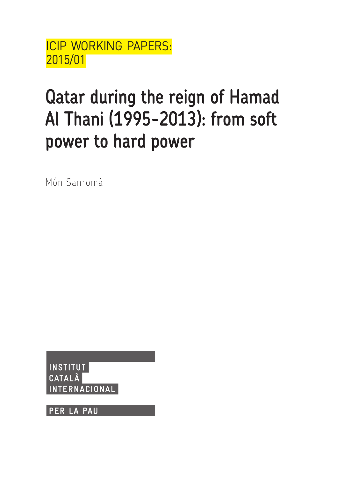ICIP WORKING PAPERS: 2015/01

# Qatar during the reign of Hamad Al Thani (1995-2013): from soft power to hard power

Món Sanromà

**INSTITUT** CATALÀ TERNACIONAL

**PER LA PAU**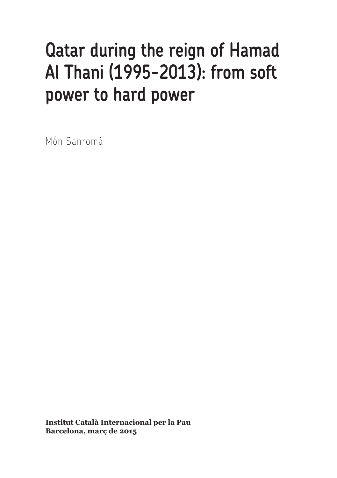## Qatar during the reign of Hamad Al Thani (1995-2013): from soft power to hard power

Món Sanromà

**Institut Català Internacional per la Pau Barcelona, març de 2015**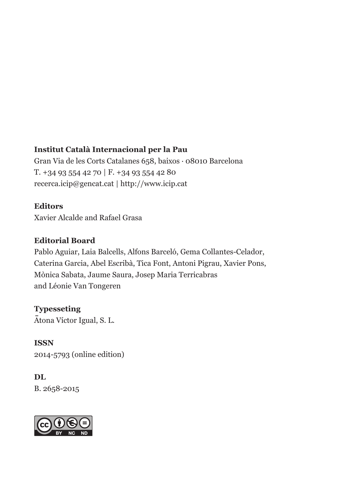#### **Institut Català Internacional per la Pau**

Gran Via de les Corts Catalanes 658, baixos · 08010 Barcelona T. +34 93 554 42 70 | F. +34 93 554 42 80 recerca.icip@gencat.cat | http://www.icip.cat

#### **Editors**

Xavier Alcalde and Rafael Grasa

#### **Editorial Board**

Pablo Aguiar, Laia Balcells, Alfons Barceló, Gema Collantes-Celador, Caterina Garcia, Abel Escribà, Tica Font, Antoni Pigrau, Xavier Pons, Mònica Sabata, Jaume Saura, Josep Maria Terricabras and Léonie Van Tongeren

#### **Typesseting**

Atona Víctor Igual, S. L.

**ISSN** 2014-5793 (online edition)

#### **DL**  B. 2658-2015

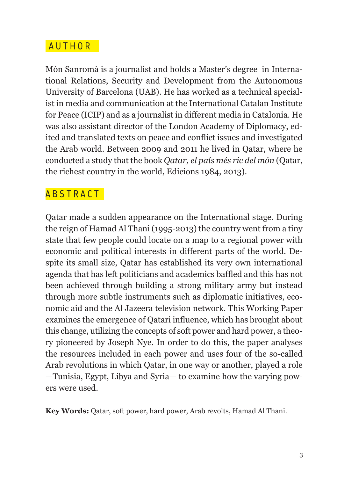#### A UTHOR

Món Sanromà is a journalist and holds a Master's degree in International Relations, Security and Development from the Autonomous University of Barcelona (UAB). He has worked as a technical specialist in media and communication at the International Catalan Institute for Peace (ICIP) and as a journalist in different media in Catalonia. He was also assistant director of the London Academy of Diplomacy, edited and translated texts on peace and conflict issues and investigated the Arab world. Between 2009 and 2011 he lived in Qatar, where he conducted a study that the book *Qatar, el país més ric del món* (Qatar, the richest country in the world, Edicions 1984, 2013).

#### ABSTRACT

Qatar made a sudden appearance on the International stage. During the reign of Hamad Al Thani (1995-2013) the country went from a tiny state that few people could locate on a map to a regional power with economic and political interests in different parts of the world. Despite its small size, Qatar has established its very own international agenda that has left politicians and academics baffled and this has not been achieved through building a strong military army but instead through more subtle instruments such as diplomatic initiatives, economic aid and the Al Jazeera television network. This Working Paper examines the emergence of Qatari influence, which has brought about this change, utilizing the concepts of soft power and hard power, a theory pioneered by Joseph Nye. In order to do this, the paper analyses the resources included in each power and uses four of the so-called Arab revolutions in which Qatar, in one way or another, played a role —Tunisia, Egypt, Libya and Syria— to examine how the varying powers were used.

**Key Words:** Qatar, soft power, hard power, Arab revolts, Hamad Al Thani.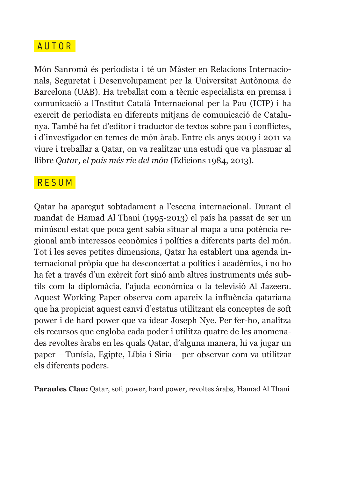#### A UTOR

Món Sanromà és periodista i té un Màster en Relacions Internacionals, Seguretat i Desenvolupament per la Universitat Autònoma de Barcelona (UAB). Ha treballat com a tècnic especialista en premsa i comunicació a l'Institut Català Internacional per la Pau (ICIP) i ha exercit de periodista en diferents mitjans de comunicació de Catalunya. També ha fet d'editor i traductor de textos sobre pau i conflictes, i d'investigador en temes de món àrab. Entre els anys 2009 i 2011 va viure i treballar a Qatar, on va realitzar una estudi que va plasmar al llibre *Qatar, el país més ric del món* (Edicions 1984, 2013).

#### **RESUM**

Qatar ha aparegut sobtadament a l'escena internacional. Durant el mandat de Hamad Al Thani (1995-2013) el país ha passat de ser un minúscul estat que poca gent sabia situar al mapa a una potència regional amb interessos econòmics i polítics a diferents parts del món. Tot i les seves petites dimensions, Qatar ha establert una agenda internacional pròpia que ha desconcertat a polítics i acadèmics, i no ho ha fet a través d'un exèrcit fort sinó amb altres instruments més subtils com la diplomàcia, l'ajuda econòmica o la televisió Al Jazeera. Aquest Working Paper observa com apareix la influència qatariana que ha propiciat aquest canvi d'estatus utilitzant els conceptes de soft power i de hard power que va idear Joseph Nye. Per fer-ho, analitza els recursos que engloba cada poder i utilitza quatre de les anomenades revoltes àrabs en les quals Qatar, d'alguna manera, hi va jugar un paper —Tunísia, Egipte, Líbia i Síria— per observar com va utilitzar els diferents poders.

**Paraules Clau:** Qatar, soft power, hard power, revoltes àrabs, Hamad Al Thani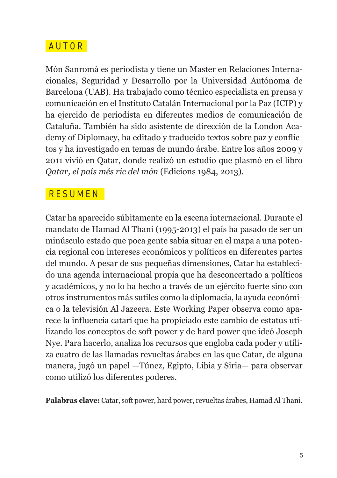#### A UTOR

Món Sanromà es periodista y tiene un Master en Relaciones Internacionales, Seguridad y Desarrollo por la Universidad Autónoma de Barcelona (UAB). Ha trabajado como técnico especialista en prensa y comunicación en el Instituto Catalán Internacional por la Paz (ICIP) y ha ejercido de periodista en diferentes medios de comunicación de Cataluña. También ha sido asistente de dirección de la London Academy of Diplomacy, ha editado y traducido textos sobre paz y conflictos y ha investigado en temas de mundo árabe. Entre los años 2009 y 2011 vivió en Qatar, donde realizó un estudio que plasmó en el libro *Qatar, el país més ric del món* (Edicions 1984, 2013).

#### R ESUMEN

Catar ha aparecido súbitamente en la escena internacional. Durante el mandato de Hamad Al Thani (1995-2013) el país ha pasado de ser un minúsculo estado que poca gente sabía situar en el mapa a una potencia regional con intereses económicos y políticos en diferentes partes del mundo. A pesar de sus pequeñas dimensiones, Catar ha establecido una agenda internacional propia que ha desconcertado a políticos y académicos, y no lo ha hecho a través de un ejército fuerte sino con otros instrumentos más sutiles como la diplomacia, la ayuda económica o la televisión Al Jazeera. Este Working Paper observa como aparece la influencia catarí que ha propiciado este cambio de estatus utilizando los conceptos de soft power y de hard power que ideó Joseph Nye. Para hacerlo, analiza los recursos que engloba cada poder y utiliza cuatro de las llamadas revueltas árabes en las que Catar, de alguna manera, jugó un papel —Túnez, Egipto, Libia y Siria— para observar como utilizó los diferentes poderes.

**Palabras clave:** Catar, soft power, hard power, revueltas árabes, Hamad Al Thani.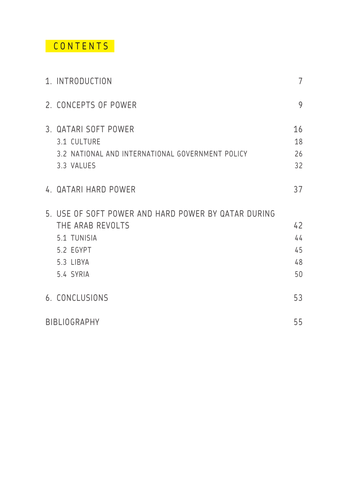## CONTENTS

| 1. INTRODUCTION                                                                                                               | $\overline{7}$             |
|-------------------------------------------------------------------------------------------------------------------------------|----------------------------|
| 2. CONCEPTS OF POWER                                                                                                          | 9                          |
| 3. QATARI SOFT POWER<br>3.1 CULTURE<br>3.2 NATIONAL AND INTERNATIONAL GOVERNMENT POLICY<br>3.3 VALUES                         | 16<br>18<br>26<br>32       |
| 4. QATARI HARD POWER                                                                                                          | 37                         |
| 5. USE OF SOFT POWER AND HARD POWER BY QATAR DURING<br>THE ARAB REVOLTS<br>5.1 TUNISIA<br>5.2 EGYPT<br>5.3 LIBYA<br>5.4 SYRIA | 42<br>44<br>45<br>48<br>50 |
| 6. CONCLUSIONS                                                                                                                | 53                         |
| <b>BIBLIOGRAPHY</b>                                                                                                           | 55                         |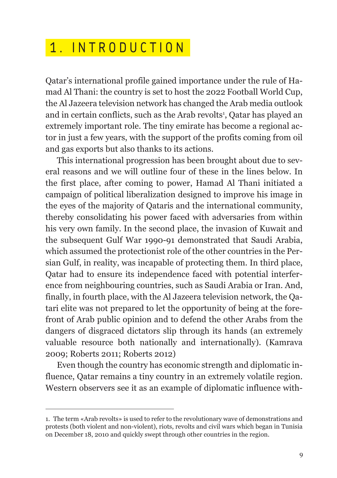## 1 . INTRODUCTION

Qatar's international profile gained importance under the rule of Hamad Al Thani: the country is set to host the 2022 Football World Cup, the Al Jazeera television network has changed the Arab media outlook and in certain conflicts, such as the Arab revolts<sup>1</sup>, Qatar has played an extremely important role. The tiny emirate has become a regional actor in just a few years, with the support of the profits coming from oil and gas exports but also thanks to its actions.

This international progression has been brought about due to several reasons and we will outline four of these in the lines below. In the first place, after coming to power, Hamad Al Thani initiated a campaign of political liberalization designed to improve his image in the eyes of the majority of Qataris and the international community, thereby consolidating his power faced with adversaries from within his very own family. In the second place, the invasion of Kuwait and the subsequent Gulf War 1990-91 demonstrated that Saudi Arabia, which assumed the protectionist role of the other countries in the Persian Gulf, in reality, was incapable of protecting them. In third place, Qatar had to ensure its independence faced with potential interference from neighbouring countries, such as Saudi Arabia or Iran. And, finally, in fourth place, with the Al Jazeera television network, the Qatari elite was not prepared to let the opportunity of being at the forefront of Arab public opinion and to defend the other Arabs from the dangers of disgraced dictators slip through its hands (an extremely valuable resource both nationally and internationally). (Kamrava 2009; Roberts 2011; Roberts 2012)

Even though the country has economic strength and diplomatic influence, Qatar remains a tiny country in an extremely volatile region. Western observers see it as an example of diplomatic influence with-

<sup>1.</sup> The term «Arab revolts» is used to refer to the revolutionary wave of demonstrations and protests (both violent and non-violent), riots, revolts and civil wars which began in Tunisia on December 18, 2010 and quickly swept through other countries in the region.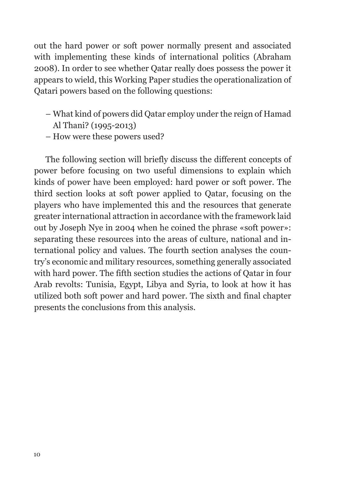out the hard power or soft power normally present and associated with implementing these kinds of international politics (Abraham 2008). In order to see whether Qatar really does possess the power it appears to wield, this Working Paper studies the operationalization of Qatari powers based on the following questions:

- What kind of powers did Qatar employ under the reign of Hamad Al Thani? (1995-2013)
- How were these powers used?

The following section will briefly discuss the different concepts of power before focusing on two useful dimensions to explain which kinds of power have been employed: hard power or soft power. The third section looks at soft power applied to Qatar, focusing on the players who have implemented this and the resources that generate greater international attraction in accordance with the framework laid out by Joseph Nye in 2004 when he coined the phrase «soft power»: separating these resources into the areas of culture, national and international policy and values. The fourth section analyses the country's economic and military resources, something generally associated with hard power. The fifth section studies the actions of Qatar in four Arab revolts: Tunisia, Egypt, Libya and Syria, to look at how it has utilized both soft power and hard power. The sixth and final chapter presents the conclusions from this analysis.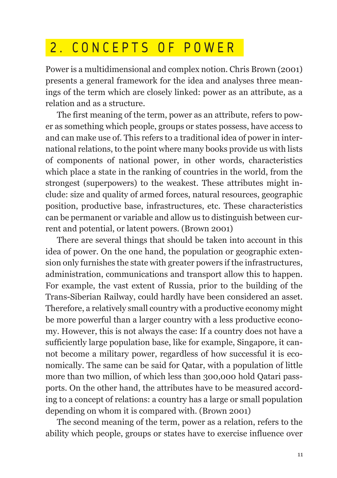## 2 . CONCEPTS OF POWER

Power is a multidimensional and complex notion. Chris Brown (2001) presents a general framework for the idea and analyses three meanings of the term which are closely linked: power as an attribute, as a relation and as a structure.

The first meaning of the term, power as an attribute, refers to power as something which people, groups or states possess, have access to and can make use of. This refers to a traditional idea of power in international relations, to the point where many books provide us with lists of components of national power, in other words, characteristics which place a state in the ranking of countries in the world, from the strongest (superpowers) to the weakest. These attributes might include: size and quality of armed forces, natural resources, geographic position, productive base, infrastructures, etc. These characteristics can be permanent or variable and allow us to distinguish between current and potential, or latent powers. (Brown 2001)

There are several things that should be taken into account in this idea of power. On the one hand, the population or geographic extension only furnishes the state with greater powers if the infrastructures, administration, communications and transport allow this to happen. For example, the vast extent of Russia, prior to the building of the Trans-Siberian Railway, could hardly have been considered an asset. Therefore, a relatively small country with a productive economy might be more powerful than a larger country with a less productive economy. However, this is not always the case: If a country does not have a sufficiently large population base, like for example, Singapore, it cannot become a military power, regardless of how successful it is economically. The same can be said for Qatar, with a population of little more than two million, of which less than 300,000 hold Qatari passports. On the other hand, the attributes have to be measured according to a concept of relations: a country has a large or small population depending on whom it is compared with. (Brown 2001)

The second meaning of the term, power as a relation, refers to the ability which people, groups or states have to exercise influence over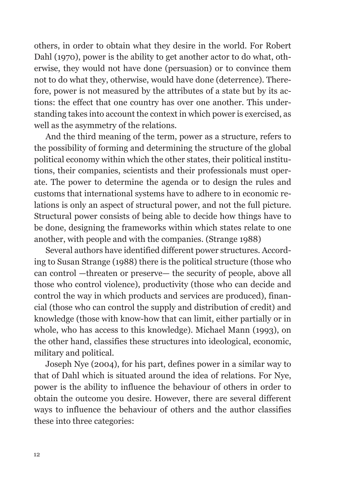others, in order to obtain what they desire in the world. For Robert Dahl (1970), power is the ability to get another actor to do what, otherwise, they would not have done (persuasion) or to convince them not to do what they, otherwise, would have done (deterrence). Therefore, power is not measured by the attributes of a state but by its actions: the effect that one country has over one another. This understanding takes into account the context in which power is exercised, as well as the asymmetry of the relations.

And the third meaning of the term, power as a structure, refers to the possibility of forming and determining the structure of the global political economy within which the other states, their political institutions, their companies, scientists and their professionals must operate. The power to determine the agenda or to design the rules and customs that international systems have to adhere to in economic relations is only an aspect of structural power, and not the full picture. Structural power consists of being able to decide how things have to be done, designing the frameworks within which states relate to one another, with people and with the companies. (Strange 1988)

Several authors have identified different power structures. According to Susan Strange (1988) there is the political structure (those who can control —threaten or preserve— the security of people, above all those who control violence), productivity (those who can decide and control the way in which products and services are produced), financial (those who can control the supply and distribution of credit) and knowledge (those with know-how that can limit, either partially or in whole, who has access to this knowledge). Michael Mann (1993), on the other hand, classifies these structures into ideological, economic, military and political.

Joseph Nye (2004), for his part, defines power in a similar way to that of Dahl which is situated around the idea of relations. For Nye, power is the ability to influence the behaviour of others in order to obtain the outcome you desire. However, there are several different ways to influence the behaviour of others and the author classifies these into three categories: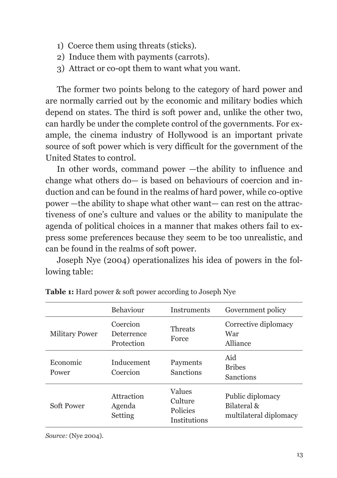- 1) Coerce them using threats (sticks).
- 2) Induce them with payments (carrots).
- 3) Attract or co-opt them to want what you want.

The former two points belong to the category of hard power and are normally carried out by the economic and military bodies which depend on states. The third is soft power and, unlike the other two, can hardly be under the complete control of the governments. For example, the cinema industry of Hollywood is an important private source of soft power which is very difficult for the government of the United States to control.

In other words, command power —the ability to influence and change what others do— is based on behaviours of coercion and induction and can be found in the realms of hard power, while co-optive power —the ability to shape what other want— can rest on the attractiveness of one's culture and values or the ability to manipulate the agenda of political choices in a manner that makes others fail to express some preferences because they seem to be too unrealistic, and can be found in the realms of soft power.

Joseph Nye (2004) operationalizes his idea of powers in the following table:

|                       | Behaviour                            | <b>Instruments</b>                            | Government policy                                            |
|-----------------------|--------------------------------------|-----------------------------------------------|--------------------------------------------------------------|
| <b>Military Power</b> | Coercion<br>Deterrence<br>Protection | <b>Threats</b><br>Force                       | Corrective diplomacy<br>War<br>Alliance                      |
| Economic<br>Power     | Inducement<br>Coercion               | Payments<br>Sanctions                         | Aid<br><b>Bribes</b><br><b>Sanctions</b>                     |
| Soft Power            | Attraction<br>Agenda<br>Setting      | Values<br>Culture<br>Policies<br>Institutions | Public diplomacy<br>Bilateral $\&$<br>multilateral diplomacy |

**Table 1:** Hard power & soft power according to Joseph Nye

*Source:* (Nye 2004).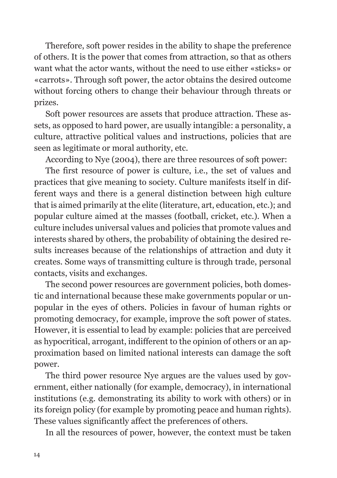Therefore, soft power resides in the ability to shape the preference of others. It is the power that comes from attraction, so that as others want what the actor wants, without the need to use either «sticks» or «carrots». Through soft power, the actor obtains the desired outcome without forcing others to change their behaviour through threats or prizes.

Soft power resources are assets that produce attraction. These assets, as opposed to hard power, are usually intangible: a personality, a culture, attractive political values and instructions, policies that are seen as legitimate or moral authority, etc.

According to Nye (2004), there are three resources of soft power:

The first resource of power is culture, i.e., the set of values and practices that give meaning to society. Culture manifests itself in different ways and there is a general distinction between high culture that is aimed primarily at the elite (literature, art, education, etc.); and popular culture aimed at the masses (football, cricket, etc.). When a culture includes universal values and policies that promote values and interests shared by others, the probability of obtaining the desired results increases because of the relationships of attraction and duty it creates. Some ways of transmitting culture is through trade, personal contacts, visits and exchanges.

The second power resources are government policies, both domestic and international because these make governments popular or unpopular in the eyes of others. Policies in favour of human rights or promoting democracy, for example, improve the soft power of states. However, it is essential to lead by example: policies that are perceived as hypocritical, arrogant, indifferent to the opinion of others or an approximation based on limited national interests can damage the soft power.

The third power resource Nye argues are the values used by government, either nationally (for example, democracy), in international institutions (e.g. demonstrating its ability to work with others) or in its foreign policy (for example by promoting peace and human rights). These values significantly affect the preferences of others.

In all the resources of power, however, the context must be taken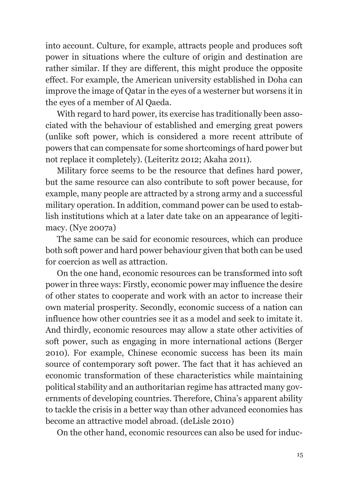into account. Culture, for example, attracts people and produces soft power in situations where the culture of origin and destination are rather similar. If they are different, this might produce the opposite effect. For example, the American university established in Doha can improve the image of Qatar in the eyes of a westerner but worsens it in the eyes of a member of Al Qaeda.

With regard to hard power, its exercise has traditionally been associated with the behaviour of established and emerging great powers (unlike soft power, which is considered a more recent attribute of powers that can compensate for some shortcomings of hard power but not replace it completely). (Leiteritz 2012; Akaha 2011).

Military force seems to be the resource that defines hard power, but the same resource can also contribute to soft power because, for example, many people are attracted by a strong army and a successful military operation. In addition, command power can be used to establish institutions which at a later date take on an appearance of legitimacy. (Nye 2007a)

The same can be said for economic resources, which can produce both soft power and hard power behaviour given that both can be used for coercion as well as attraction.

On the one hand, economic resources can be transformed into soft power in three ways: Firstly, economic power may influence the desire of other states to cooperate and work with an actor to increase their own material prosperity. Secondly, economic success of a nation can influence how other countries see it as a model and seek to imitate it. And thirdly, economic resources may allow a state other activities of soft power, such as engaging in more international actions (Berger 2010). For example, Chinese economic success has been its main source of contemporary soft power. The fact that it has achieved an economic transformation of these characteristics while maintaining political stability and an authoritarian regime has attracted many governments of developing countries. Therefore, China's apparent ability to tackle the crisis in a better way than other advanced economies has become an attractive model abroad. (deLisle 2010)

On the other hand, economic resources can also be used for induc-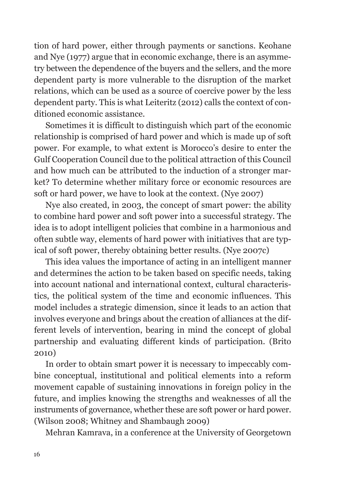tion of hard power, either through payments or sanctions. Keohane and Nye (1977) argue that in economic exchange, there is an asymmetry between the dependence of the buyers and the sellers, and the more dependent party is more vulnerable to the disruption of the market relations, which can be used as a source of coercive power by the less dependent party. This is what Leiteritz (2012) calls the context of conditioned economic assistance.

Sometimes it is difficult to distinguish which part of the economic relationship is comprised of hard power and which is made up of soft power. For example, to what extent is Morocco's desire to enter the Gulf Cooperation Council due to the political attraction of this Council and how much can be attributed to the induction of a stronger market? To determine whether military force or economic resources are soft or hard power, we have to look at the context. (Nye 2007)

Nye also created, in 2003, the concept of smart power: the ability to combine hard power and soft power into a successful strategy. The idea is to adopt intelligent policies that combine in a harmonious and often subtle way, elements of hard power with initiatives that are typical of soft power, thereby obtaining better results. (Nye 2007c)

This idea values the importance of acting in an intelligent manner and determines the action to be taken based on specific needs, taking into account national and international context, cultural characteristics, the political system of the time and economic influences. This model includes a strategic dimension, since it leads to an action that involves everyone and brings about the creation of alliances at the different levels of intervention, bearing in mind the concept of global partnership and evaluating different kinds of participation. (Brito 2010)

In order to obtain smart power it is necessary to impeccably combine conceptual, institutional and political elements into a reform movement capable of sustaining innovations in foreign policy in the future, and implies knowing the strengths and weaknesses of all the instruments of governance, whether these are soft power or hard power. (Wilson 2008; Whitney and Shambaugh 2009)

Mehran Kamrava, in a conference at the University of Georgetown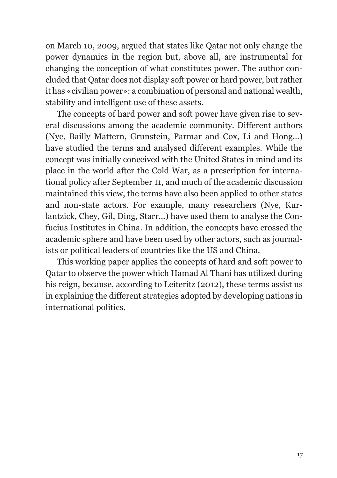on March 10, 2009, argued that states like Qatar not only change the power dynamics in the region but, above all, are instrumental for changing the conception of what constitutes power. The author concluded that Qatar does not display soft power or hard power, but rather it has «civilian power»: a combination of personal and national wealth, stability and intelligent use of these assets.

The concepts of hard power and soft power have given rise to several discussions among the academic community. Different authors (Nye, Bailly Mattern, Grunstein, Parmar and Cox, Li and Hong...) have studied the terms and analysed different examples. While the concept was initially conceived with the United States in mind and its place in the world after the Cold War, as a prescription for international policy after September 11, and much of the academic discussion maintained this view, the terms have also been applied to other states and non-state actors. For example, many researchers (Nye, Kurlantzick, Chey, Gil, Ding, Starr...) have used them to analyse the Confucius Institutes in China. In addition, the concepts have crossed the academic sphere and have been used by other actors, such as journalists or political leaders of countries like the US and China.

This working paper applies the concepts of hard and soft power to Qatar to observe the power which Hamad Al Thani has utilized during his reign, because, according to Leiteritz (2012), these terms assist us in explaining the different strategies adopted by developing nations in international politics.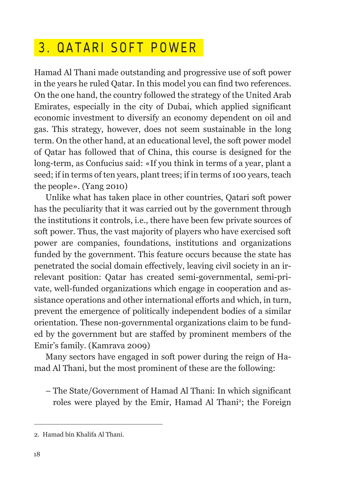## 3 . QATARI SOFT POWER

Hamad Al Thani made outstanding and progressive use of soft power in the years he ruled Qatar. In this model you can find two references. On the one hand, the country followed the strategy of the United Arab Emirates, especially in the city of Dubai, which applied significant economic investment to diversify an economy dependent on oil and gas. This strategy, however, does not seem sustainable in the long term. On the other hand, at an educational level, the soft power model of Qatar has followed that of China, this course is designed for the long-term, as Confucius said: «If you think in terms of a year, plant a seed; if in terms of ten years, plant trees; if in terms of 100 years, teach the people». (Yang 2010)

Unlike what has taken place in other countries, Qatari soft power has the peculiarity that it was carried out by the government through the institutions it controls, i.e., there have been few private sources of soft power. Thus, the vast majority of players who have exercised soft power are companies, foundations, institutions and organizations funded by the government. This feature occurs because the state has penetrated the social domain effectively, leaving civil society in an irrelevant position: Qatar has created semi-governmental, semi-private, well-funded organizations which engage in cooperation and assistance operations and other international efforts and which, in turn, prevent the emergence of politically independent bodies of a similar orientation. These non-governmental organizations claim to be funded by the government but are staffed by prominent members of the Emir's family. (Kamrava 2009)

Many sectors have engaged in soft power during the reign of Hamad Al Thani, but the most prominent of these are the following:

– The State/Government of Hamad Al Thani: In which significant roles were played by the Emir, Hamad Al Thani<sup>2</sup>; the Foreign

<sup>2.</sup> Hamad bin Khalifa Al Thani.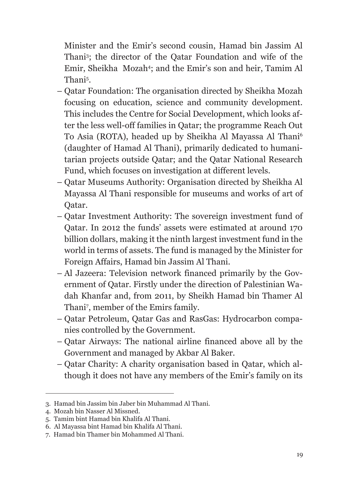Minister and the Emir's second cousin, Hamad bin Jassim Al Thani<sup>3</sup> ; the director of the Qatar Foundation and wife of the Emir, Sheikha Mozah<sup>4</sup>; and the Emir's son and heir, Tamim Al Thani<sup>5</sup>.

- Qatar Foundation: The organisation directed by Sheikha Mozah focusing on education, science and community development. This includes the Centre for Social Development, which looks after the less well-off families in Qatar; the programme Reach Out To Asia (ROTA), headed up by Sheikha Al Mayassa Al Thani 6 (daughter of Hamad Al Thani), primarily dedicated to humanitarian projects outside Qatar; and the Qatar National Research Fund, which focuses on investigation at different levels.
- Qatar Museums Authority: Organisation directed by Sheikha Al Mayassa Al Thani responsible for museums and works of art of Qatar.
- Qatar Investment Authority: The sovereign investment fund of Qatar. In 2012 the funds' assets were estimated at around 170 billion dollars, making it the ninth largest investment fund in the world in terms of assets. The fund is managed by the Minister for Foreign Affairs, Hamad bin Jassim Al Thani.
- Al Jazeera: Television network financed primarily by the Government of Qatar. Firstly under the direction of Palestinian Wadah Khanfar and, from 2011, by Sheikh Hamad bin Thamer Al Thani<sup>7</sup> , member of the Emirs family.
- Qatar Petroleum, Qatar Gas and RasGas: Hydrocarbon companies controlled by the Government.
- Qatar Airways: The national airline financed above all by the Government and managed by Akbar Al Baker.
- Qatar Charity: A charity organisation based in Qatar, which although it does not have any members of the Emir's family on its

<sup>3.</sup> Hamad bin Jassim bin Jaber bin Muhammad Al Thani.

<sup>4.</sup> Mozah bin Nasser Al Missned.

<sup>5.</sup> Tamim bint Hamad bin Khalifa Al Thani.

<sup>6.</sup> Al Mayassa bint Hamad bin Khalifa Al Thani.

<sup>7.</sup> Hamad bin Thamer bin Mohammed Al Thani.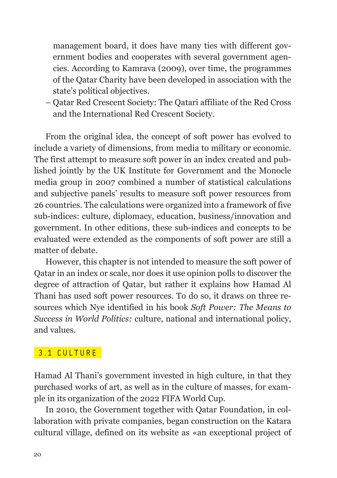management board, it does have many ties with different government bodies and cooperates with several government agencies. According to Kamrava (2009), over time, the programmes of the Qatar Charity have been developed in association with the state's political objectives.

– Qatar Red Crescent Society: The Qatari affiliate of the Red Cross and the International Red Crescent Society.

From the original idea, the concept of soft power has evolved to include a variety of dimensions, from media to military or economic. The first attempt to measure soft power in an index created and published jointly by the UK Institute for Government and the Monocle media group in 2007 combined a number of statistical calculations and subjective panels' results to measure soft power resources from 26 countries. The calculations were organized into a framework of five sub-indices: culture, diplomacy, education, business/innovation and government. In other editions, these sub-indices and concepts to be evaluated were extended as the components of soft power are still a matter of debate.

However, this chapter is not intended to measure the soft power of Qatar in an index or scale, nor does it use opinion polls to discover the degree of attraction of Qatar, but rather it explains how Hamad Al Thani has used soft power resources. To do so, it draws on three resources which Nye identified in his book *Soft Power: The Means to Success in World Politics:* culture, national and international policy, and values.

#### 3 .1 CULTURE

Hamad Al Thani's government invested in high culture, in that they purchased works of art, as well as in the culture of masses, for example in its organization of the 2022 FIFA World Cup.

In 2010, the Government together with Qatar Foundation, in collaboration with private companies, began construction on the Katara cultural village, defined on its website as «an exceptional project of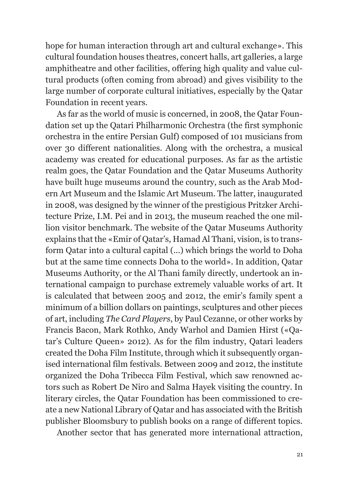hope for human interaction through art and cultural exchange». This cultural foundation houses theatres, concert halls, art galleries, a large amphitheatre and other facilities, offering high quality and value cultural products (often coming from abroad) and gives visibility to the large number of corporate cultural initiatives, especially by the Qatar Foundation in recent years.

As far as the world of music is concerned, in 2008, the Qatar Foundation set up the Qatari Philharmonic Orchestra (the first symphonic orchestra in the entire Persian Gulf) composed of 101 musicians from over 30 different nationalities. Along with the orchestra, a musical academy was created for educational purposes. As far as the artistic realm goes, the Qatar Foundation and the Qatar Museums Authority have built huge museums around the country, such as the Arab Modern Art Museum and the Islamic Art Museum. The latter, inaugurated in 2008, was designed by the winner of the prestigious Pritzker Architecture Prize, I.M. Pei and in 2013, the museum reached the one million visitor benchmark. The website of the Qatar Museums Authority explains that the «Emir of Qatar's, Hamad Al Thani, vision, is to transform Qatar into a cultural capital (...) which brings the world to Doha but at the same time connects Doha to the world». In addition, Qatar Museums Authority, or the Al Thani family directly, undertook an international campaign to purchase extremely valuable works of art. It is calculated that between 2005 and 2012, the emir's family spent a minimum of a billion dollars on paintings, sculptures and other pieces of art, including *The Card Players*, by Paul Cezanne, or other works by Francis Bacon, Mark Rothko, Andy Warhol and Damien Hirst («Qatar's Culture Queen» 2012). As for the film industry, Qatari leaders created the Doha Film Institute, through which it subsequently organised international film festivals. Between 2009 and 2012, the institute organized the Doha Tribecca Film Festival, which saw renowned actors such as Robert De Niro and Salma Hayek visiting the country. In literary circles, the Qatar Foundation has been commissioned to create a new National Library of Qatar and has associated with the British publisher Bloomsbury to publish books on a range of different topics.

Another sector that has generated more international attraction,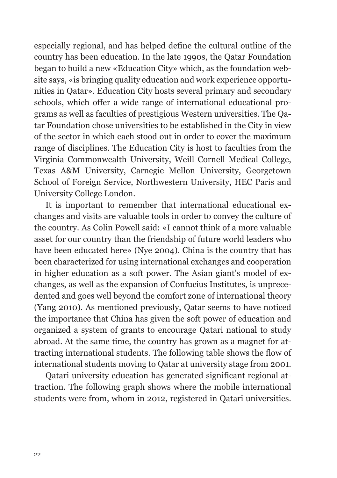especially regional, and has helped define the cultural outline of the country has been education. In the late 1990s, the Qatar Foundation began to build a new «Education City» which, as the foundation website says, «is bringing quality education and work experience opportunities in Qatar». Education City hosts several primary and secondary schools, which offer a wide range of international educational programs as well as faculties of prestigious Western universities. The Qatar Foundation chose universities to be established in the City in view of the sector in which each stood out in order to cover the maximum range of disciplines. The Education City is host to faculties from the Virginia Commonwealth University, Weill Cornell Medical College, Texas A&M University, Carnegie Mellon University, Georgetown School of Foreign Service, Northwestern University, HEC Paris and University College London.

It is important to remember that international educational exchanges and visits are valuable tools in order to convey the culture of the country. As Colin Powell said: «I cannot think of a more valuable asset for our country than the friendship of future world leaders who have been educated here» (Nye 2004). China is the country that has been characterized for using international exchanges and cooperation in higher education as a soft power. The Asian giant's model of exchanges, as well as the expansion of Confucius Institutes, is unprecedented and goes well beyond the comfort zone of international theory (Yang 2010). As mentioned previously, Qatar seems to have noticed the importance that China has given the soft power of education and organized a system of grants to encourage Qatari national to study abroad. At the same time, the country has grown as a magnet for attracting international students. The following table shows the flow of international students moving to Qatar at university stage from 2001.

Qatari university education has generated significant regional attraction. The following graph shows where the mobile international students were from, whom in 2012, registered in Qatari universities.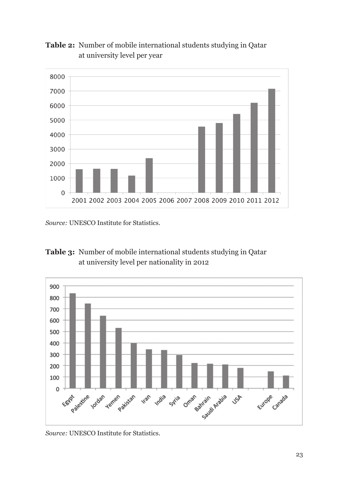

**Table 2:** Number of mobile international students studying in Qatar at university level per year

*Source:* UNESCO Institute for Statistics.





*Source:* UNESCO Institute for Statistics.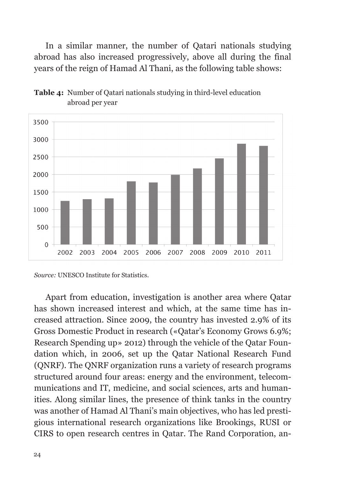In a similar manner, the number of Qatari nationals studying abroad has also increased progressively, above all during the final years of the reign of Hamad Al Thani, as the following table shows:



**Table 4:** Number of Qatari nationals studying in third-level education abroad per year

Apart from education, investigation is another area where Qatar has shown increased interest and which, at the same time has increased attraction. Since 2009, the country has invested 2.9% of its Gross Domestic Product in research («Qatar's Economy Grows 6.9%; Research Spending up» 2012) through the vehicle of the Qatar Foundation which, in 2006, set up the Qatar National Research Fund (QNRF). The QNRF organization runs a variety of research programs structured around four areas: energy and the environment, telecommunications and IT, medicine, and social sciences, arts and humanities. Along similar lines, the presence of think tanks in the country was another of Hamad Al Thani's main objectives, who has led prestigious international research organizations like Brookings, RUSI or CIRS to open research centres in Qatar. The Rand Corporation, an-

*Source:* UNESCO Institute for Statistics.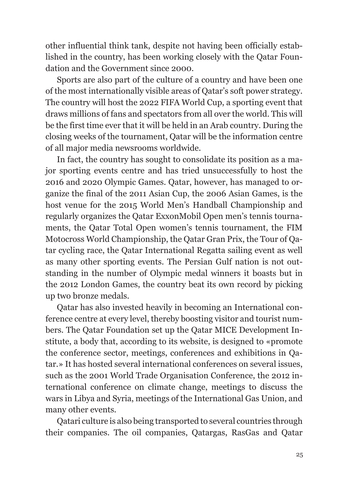other influential think tank, despite not having been officially established in the country, has been working closely with the Qatar Foundation and the Government since 2000

Sports are also part of the culture of a country and have been one of the most internationally visible areas of Qatar's soft power strategy. The country will host the 2022 FIFA World Cup, a sporting event that draws millions of fans and spectators from all over the world. This will be the first time ever that it will be held in an Arab country. During the closing weeks of the tournament, Qatar will be the information centre of all major media newsrooms worldwide.

In fact, the country has sought to consolidate its position as a major sporting events centre and has tried unsuccessfully to host the 2016 and 2020 Olympic Games. Qatar, however, has managed to organize the final of the 2011 Asian Cup, the 2006 Asian Games, is the host venue for the 2015 World Men's Handball Championship and regularly organizes the Qatar ExxonMobil Open men's tennis tournaments, the Qatar Total Open women's tennis tournament, the FIM Motocross World Championship, the Qatar Gran Prix, the Tour of Qatar cycling race, the Qatar International Regatta sailing event as well as many other sporting events. The Persian Gulf nation is not outstanding in the number of Olympic medal winners it boasts but in the 2012 London Games, the country beat its own record by picking up two bronze medals.

Qatar has also invested heavily in becoming an International conference centre at every level, thereby boosting visitor and tourist numbers. The Qatar Foundation set up the Qatar MICE Development Institute, a body that, according to its website, is designed to «promote the conference sector, meetings, conferences and exhibitions in Qatar.» It has hosted several international conferences on several issues, such as the 2001 World Trade Organisation Conference, the 2012 international conference on climate change, meetings to discuss the wars in Libya and Syria, meetings of the International Gas Union, and many other events.

Qatari culture is also being transported to several countries through their companies. The oil companies, Qatargas, RasGas and Qatar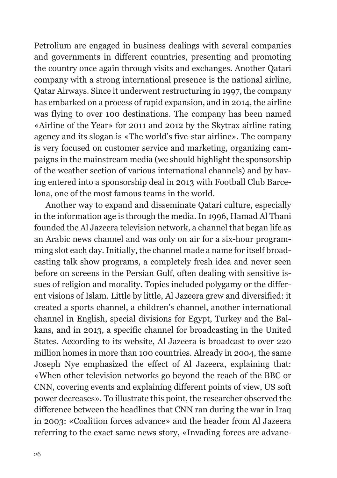Petrolium are engaged in business dealings with several companies and governments in different countries, presenting and promoting the country once again through visits and exchanges. Another Qatari company with a strong international presence is the national airline, Qatar Airways. Since it underwent restructuring in 1997, the company has embarked on a process of rapid expansion, and in 2014, the airline was flying to over 100 destinations. The company has been named «Airline of the Year» for 2011 and 2012 by the Skytrax airline rating agency and its slogan is «The world's five-star airline». The company is very focused on customer service and marketing, organizing campaigns in the mainstream media (we should highlight the sponsorship of the weather section of various international channels) and by having entered into a sponsorship deal in 2013 with Football Club Barcelona, one of the most famous teams in the world.

Another way to expand and disseminate Qatari culture, especially in the information age is through the media. In 1996, Hamad Al Thani founded the Al Jazeera television network, a channel that began life as an Arabic news channel and was only on air for a six-hour programming slot each day. Initially, the channel made a name for itself broadcasting talk show programs, a completely fresh idea and never seen before on screens in the Persian Gulf, often dealing with sensitive issues of religion and morality. Topics included polygamy or the different visions of Islam. Little by little, Al Jazeera grew and diversified: it created a sports channel, a children's channel, another international channel in English, special divisions for Egypt, Turkey and the Balkans, and in 2013, a specific channel for broadcasting in the United States. According to its website, Al Jazeera is broadcast to over 220 million homes in more than 100 countries. Already in 2004, the same Joseph Nye emphasized the effect of Al Jazeera, explaining that: «When other television networks go beyond the reach of the BBC or CNN, covering events and explaining different points of view, US soft power decreases». To illustrate this point, the researcher observed the difference between the headlines that CNN ran during the war in Iraq in 2003: «Coalition forces advance» and the header from Al Jazeera referring to the exact same news story, «Invading forces are advanc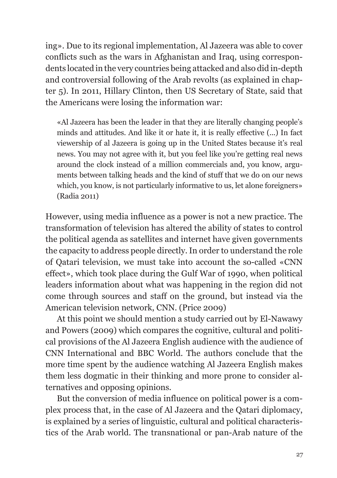ing». Due to its regional implementation, Al Jazeera was able to cover conflicts such as the wars in Afghanistan and Iraq, using correspondents located in the very countries being attacked and also did in-depth and controversial following of the Arab revolts (as explained in chapter 5). In 2011, Hillary Clinton, then US Secretary of State, said that the Americans were losing the information war:

«Al Jazeera has been the leader in that they are literally changing people's minds and attitudes. And like it or hate it, it is really effective (...) In fact viewership of al Jazeera is going up in the United States because it's real news. You may not agree with it, but you feel like you're getting real news around the clock instead of a million commercials and, you know, arguments between talking heads and the kind of stuff that we do on our news which, you know, is not particularly informative to us, let alone foreigners» (Radia 2011)

However, using media influence as a power is not a new practice. The transformation of television has altered the ability of states to control the political agenda as satellites and internet have given governments the capacity to address people directly. In order to understand the role of Qatari television, we must take into account the so-called «CNN effect», which took place during the Gulf War of 1990, when political leaders information about what was happening in the region did not come through sources and staff on the ground, but instead via the American television network, CNN. (Price 2009)

At this point we should mention a study carried out by El-Nawawy and Powers (2009) which compares the cognitive, cultural and political provisions of the Al Jazeera English audience with the audience of CNN International and BBC World. The authors conclude that the more time spent by the audience watching Al Jazeera English makes them less dogmatic in their thinking and more prone to consider alternatives and opposing opinions.

But the conversion of media influence on political power is a complex process that, in the case of Al Jazeera and the Qatari diplomacy, is explained by a series of linguistic, cultural and political characteristics of the Arab world. The transnational or pan-Arab nature of the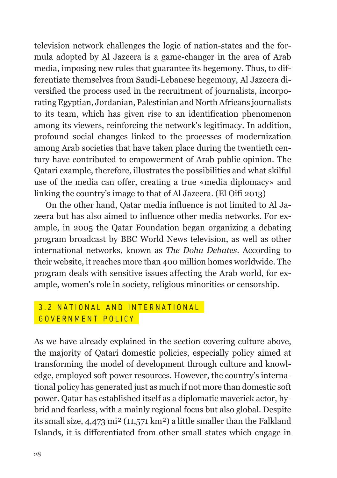television network challenges the logic of nation-states and the formula adopted by Al Jazeera is a game-changer in the area of Arab media, imposing new rules that guarantee its hegemony. Thus, to differentiate themselves from Saudi-Lebanese hegemony, Al Jazeera diversified the process used in the recruitment of journalists, incorporating Egyptian, Jordanian, Palestinian and North Africans journalists to its team, which has given rise to an identification phenomenon among its viewers, reinforcing the network's legitimacy. In addition, profound social changes linked to the processes of modernization among Arab societies that have taken place during the twentieth century have contributed to empowerment of Arab public opinion. The Qatari example, therefore, illustrates the possibilities and what skilful use of the media can offer, creating a true «media diplomacy» and linking the country's image to that of Al Jazeera. (El Oifi 2013)

On the other hand, Qatar media influence is not limited to Al Jazeera but has also aimed to influence other media networks. For example, in 2005 the Qatar Foundation began organizing a debating program broadcast by BBC World News television, as well as other international networks, known as *The Doha Debates*. According to their website, it reaches more than 400 million homes worldwide. The program deals with sensitive issues affecting the Arab world, for example, women's role in society, religious minorities or censorship.

#### 3 .2 NATIONAL AND INTERNATIONAL G OVERNMENT POLICY

As we have already explained in the section covering culture above, the majority of Qatari domestic policies, especially policy aimed at transforming the model of development through culture and knowledge, employed soft power resources. However, the country's international policy has generated just as much if not more than domestic soft power. Qatar has established itself as a diplomatic maverick actor, hybrid and fearless, with a mainly regional focus but also global. Despite its small size, 4,473 mi² (11,571 km²) a little smaller than the Falkland Islands, it is differentiated from other small states which engage in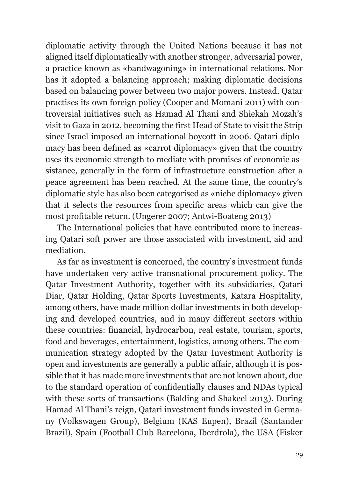diplomatic activity through the United Nations because it has not aligned itself diplomatically with another stronger, adversarial power, a practice known as «bandwagoning» in international relations. Nor has it adopted a balancing approach; making diplomatic decisions based on balancing power between two major powers. Instead, Qatar practises its own foreign policy (Cooper and Momani 2011) with controversial initiatives such as Hamad Al Thani and Shiekah Mozah's visit to Gaza in 2012, becoming the first Head of State to visit the Strip since Israel imposed an international boycott in 2006. Qatari diplomacy has been defined as «carrot diplomacy» given that the country uses its economic strength to mediate with promises of economic assistance, generally in the form of infrastructure construction after a peace agreement has been reached. At the same time, the country's diplomatic style has also been categorised as «niche diplomacy» given that it selects the resources from specific areas which can give the most profitable return. (Ungerer 2007; Antwi-Boateng 2013)

The International policies that have contributed more to increasing Qatari soft power are those associated with investment, aid and mediation.

As far as investment is concerned, the country's investment funds have undertaken very active transnational procurement policy. The Qatar Investment Authority, together with its subsidiaries, Qatari Diar, Qatar Holding, Qatar Sports Investments, Katara Hospitality, among others, have made million dollar investments in both developing and developed countries, and in many different sectors within these countries: financial, hydrocarbon, real estate, tourism, sports, food and beverages, entertainment, logistics, among others. The communication strategy adopted by the Qatar Investment Authority is open and investments are generally a public affair, although it is possible that it has made more investments that are not known about, due to the standard operation of confidentially clauses and NDAs typical with these sorts of transactions (Balding and Shakeel 2013). During Hamad Al Thani's reign, Qatari investment funds invested in Germany (Volkswagen Group), Belgium (KAS Eupen), Brazil (Santander Brazil), Spain (Football Club Barcelona, Iberdrola), the USA (Fisker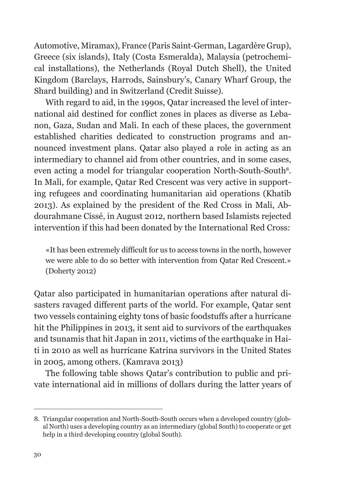Automotive, Miramax), France (Paris Saint-German, Lagardère Grup), Greece (six islands), Italy (Costa Esmeralda), Malaysia (petrochemical installations), the Netherlands (Royal Dutch Shell), the United Kingdom (Barclays, Harrods, Sainsbury's, Canary Wharf Group, the Shard building) and in Switzerland (Credit Suisse).

With regard to aid, in the 1990s, Qatar increased the level of international aid destined for conflict zones in places as diverse as Lebanon, Gaza, Sudan and Mali. In each of these places, the government established charities dedicated to construction programs and announced investment plans. Qatar also played a role in acting as an intermediary to channel aid from other countries, and in some cases, even acting a model for triangular cooperation North-South-South<sup>8</sup>. In Mali, for example, Qatar Red Crescent was very active in supporting refugees and coordinating humanitarian aid operations (Khatib 2013). As explained by the president of the Red Cross in Mali, Abdourahmane Cissé, in August 2012, northern based Islamists rejected intervention if this had been donated by the International Red Cross:

«It has been extremely difficult for us to access towns in the north, however we were able to do so better with intervention from Qatar Red Crescent.» (Doherty 2012)

Qatar also participated in humanitarian operations after natural disasters ravaged different parts of the world. For example, Qatar sent two vessels containing eighty tons of basic foodstuffs after a hurricane hit the Philippines in 2013, it sent aid to survivors of the earthquakes and tsunamis that hit Japan in 2011, victims of the earthquake in Haiti in 2010 as well as hurricane Katrina survivors in the United States in 2005, among others. (Kamrava 2013)

The following table shows Qatar's contribution to public and private international aid in millions of dollars during the latter years of

<sup>8.</sup> Triangular cooperation and North-South-South occurs when a developed country (global North) uses a developing country as an intermediary (global South) to cooperate or get help in a third developing country (global South).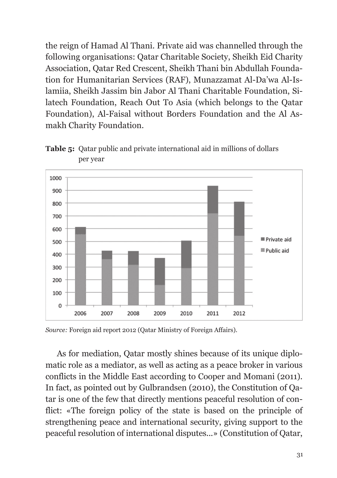the reign of Hamad Al Thani. Private aid was channelled through the following organisations: Qatar Charitable Society, Sheikh Eid Charity Association, Qatar Red Crescent, Sheikh Thani bin Abdullah Foundation for Humanitarian Services (RAF), Munazzamat Al-Da'wa Al-Islamiia, Sheikh Jassim bin Jabor Al Thani Charitable Foundation, Silatech Foundation, Reach Out To Asia (which belongs to the Qatar Foundation), Al-Faisal without Borders Foundation and the Al Asmakh Charity Foundation.



**Table 5:** Qatar public and private international aid in millions of dollars per year

*Source:* Foreign aid report 2012 (Qatar Ministry of Foreign Affairs).

As for mediation, Qatar mostly shines because of its unique diplomatic role as a mediator, as well as acting as a peace broker in various conflicts in the Middle East according to Cooper and Momani (2011). In fact, as pointed out by Gulbrandsen (2010), the Constitution of Qatar is one of the few that directly mentions peaceful resolution of conflict: «The foreign policy of the state is based on the principle of strengthening peace and international security, giving support to the peaceful resolution of international disputes...» (Constitution of Qatar,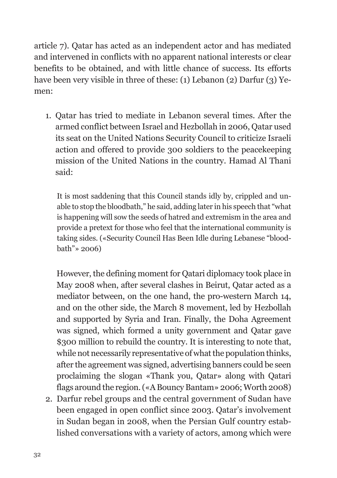article 7). Qatar has acted as an independent actor and has mediated and intervened in conflicts with no apparent national interests or clear benefits to be obtained, and with little chance of success. Its efforts have been very visible in three of these: (1) Lebanon (2) Darfur (3) Yemen:

1. Qatar has tried to mediate in Lebanon several times. After the armed conflict between Israel and Hezbollah in 2006, Qatar used its seat on the United Nations Security Council to criticize Israeli action and offered to provide 300 soldiers to the peacekeeping mission of the United Nations in the country. Hamad Al Thani said:

It is most saddening that this Council stands idly by, crippled and unable to stop the bloodbath," he said, adding later in his speech that "what is happening will sow the seeds of hatred and extremism in the area and provide a pretext for those who feel that the international community is taking sides. («Security Council Has Been Idle during Lebanese "bloodbath"» 2006)

 However, the defining moment for Qatari diplomacy took place in May 2008 when, after several clashes in Beirut, Qatar acted as a mediator between, on the one hand, the pro-western March 14, and on the other side, the March 8 movement, led by Hezbollah and supported by Syria and Iran. Finally, the Doha Agreement was signed, which formed a unity government and Qatar gave \$300 million to rebuild the country. It is interesting to note that, while not necessarily representative of what the population thinks, after the agreement was signed, advertising banners could be seen proclaiming the slogan «Thank you, Qatar» along with Qatari flags around the region. («A Bouncy Bantam» 2006; Worth 2008)

2. Darfur rebel groups and the central government of Sudan have been engaged in open conflict since 2003. Qatar's involvement in Sudan began in 2008, when the Persian Gulf country established conversations with a variety of actors, among which were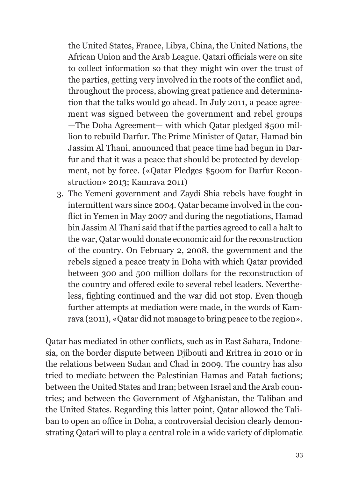the United States, France, Libya, China, the United Nations, the African Union and the Arab League. Qatari officials were on site to collect information so that they might win over the trust of the parties, getting very involved in the roots of the conflict and, throughout the process, showing great patience and determination that the talks would go ahead. In July 2011, a peace agreement was signed between the government and rebel groups —The Doha Agreement— with which Qatar pledged \$500 million to rebuild Darfur. The Prime Minister of Qatar, Hamad bin Jassim Al Thani, announced that peace time had begun in Darfur and that it was a peace that should be protected by development, not by force. («Qatar Pledges \$500m for Darfur Reconstruction» 2013; Kamrava 2011)

3. The Yemeni government and Zaydi Shia rebels have fought in intermittent wars since 2004. Qatar became involved in the conflict in Yemen in May 2007 and during the negotiations, Hamad bin Jassim Al Thani said that if the parties agreed to call a halt to the war, Qatar would donate economic aid for the reconstruction of the country. On February 2, 2008, the government and the rebels signed a peace treaty in Doha with which Qatar provided between 300 and 500 million dollars for the reconstruction of the country and offered exile to several rebel leaders. Nevertheless, fighting continued and the war did not stop. Even though further attempts at mediation were made, in the words of Kamrava (2011), «Qatar did not manage to bring peace to the region».

Qatar has mediated in other conflicts, such as in East Sahara, Indonesia, on the border dispute between Djibouti and Eritrea in 2010 or in the relations between Sudan and Chad in 2009. The country has also tried to mediate between the Palestinian Hamas and Fatah factions; between the United States and Iran; between Israel and the Arab countries; and between the Government of Afghanistan, the Taliban and the United States. Regarding this latter point, Qatar allowed the Taliban to open an office in Doha, a controversial decision clearly demonstrating Qatari will to play a central role in a wide variety of diplomatic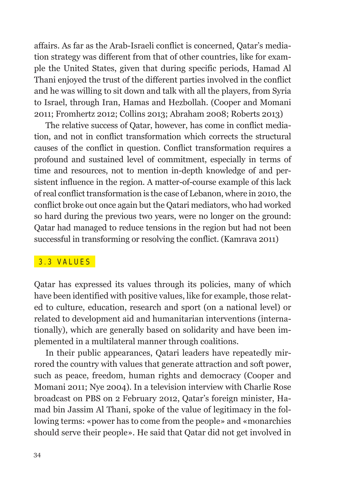affairs. As far as the Arab-Israeli conflict is concerned, Qatar's mediation strategy was different from that of other countries, like for example the United States, given that during specific periods, Hamad Al Thani enjoyed the trust of the different parties involved in the conflict and he was willing to sit down and talk with all the players, from Syria to Israel, through Iran, Hamas and Hezbollah. (Cooper and Momani 2011; Fromhertz 2012; Collins 2013; Abraham 2008; Roberts 2013)

The relative success of Qatar, however, has come in conflict mediation, and not in conflict transformation which corrects the structural causes of the conflict in question. Conflict transformation requires a profound and sustained level of commitment, especially in terms of time and resources, not to mention in-depth knowledge of and persistent influence in the region. A matter-of-course example of this lack of real conflict transformation is the case of Lebanon, where in 2010, the conflict broke out once again but the Qatari mediators, who had worked so hard during the previous two years, were no longer on the ground: Qatar had managed to reduce tensions in the region but had not been successful in transforming or resolving the conflict. (Kamrava 2011)

#### 3 .3 VALUES

Qatar has expressed its values through its policies, many of which have been identified with positive values, like for example, those related to culture, education, research and sport (on a national level) or related to development aid and humanitarian interventions (internationally), which are generally based on solidarity and have been implemented in a multilateral manner through coalitions.

In their public appearances, Qatari leaders have repeatedly mirrored the country with values that generate attraction and soft power, such as peace, freedom, human rights and democracy (Cooper and Momani 2011; Nye 2004). In a television interview with Charlie Rose broadcast on PBS on 2 February 2012, Qatar's foreign minister, Hamad bin Jassim Al Thani, spoke of the value of legitimacy in the following terms: «power has to come from the people» and «monarchies should serve their people». He said that Qatar did not get involved in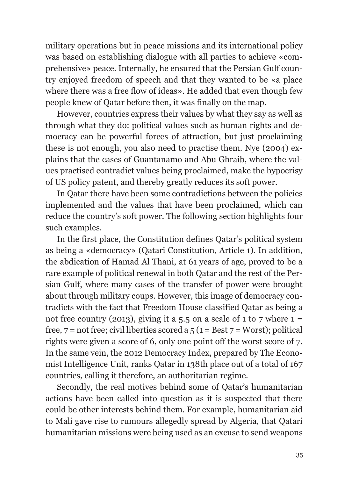military operations but in peace missions and its international policy was based on establishing dialogue with all parties to achieve «comprehensive» peace. Internally, he ensured that the Persian Gulf country enjoyed freedom of speech and that they wanted to be «a place where there was a free flow of ideas». He added that even though few people knew of Qatar before then, it was finally on the map.

However, countries express their values by what they say as well as through what they do: political values such as human rights and democracy can be powerful forces of attraction, but just proclaiming these is not enough, you also need to practise them. Nye (2004) explains that the cases of Guantanamo and Abu Ghraib, where the values practised contradict values being proclaimed, make the hypocrisy of US policy patent, and thereby greatly reduces its soft power.

In Qatar there have been some contradictions between the policies implemented and the values that have been proclaimed, which can reduce the country's soft power. The following section highlights four such examples.

In the first place, the Constitution defines Qatar's political system as being a «democracy» (Qatari Constitution, Article 1). In addition, the abdication of Hamad Al Thani, at 61 years of age, proved to be a rare example of political renewal in both Qatar and the rest of the Persian Gulf, where many cases of the transfer of power were brought about through military coups. However, this image of democracy contradicts with the fact that Freedom House classified Qatar as being a not free country (2013), giving it a 5.5 on a scale of 1 to 7 where  $1 =$ free,  $7 = not$  free; civil liberties scored a  $5(1 = Best 7 = Words)$ ; political rights were given a score of 6, only one point off the worst score of 7. In the same vein, the 2012 Democracy Index, prepared by The Economist Intelligence Unit, ranks Qatar in 138th place out of a total of 167 countries, calling it therefore, an authoritarian regime.

Secondly, the real motives behind some of Qatar's humanitarian actions have been called into question as it is suspected that there could be other interests behind them. For example, humanitarian aid to Mali gave rise to rumours allegedly spread by Algeria, that Qatari humanitarian missions were being used as an excuse to send weapons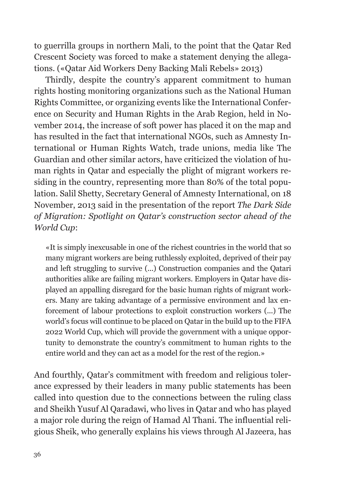to guerrilla groups in northern Mali, to the point that the Qatar Red Crescent Society was forced to make a statement denying the allegations. («Qatar Aid Workers Deny Backing Mali Rebels» 2013)

Thirdly, despite the country's apparent commitment to human rights hosting monitoring organizations such as the National Human Rights Committee, or organizing events like the International Conference on Security and Human Rights in the Arab Region, held in November 2014, the increase of soft power has placed it on the map and has resulted in the fact that international NGOs, such as Amnesty International or Human Rights Watch, trade unions, media like The Guardian and other similar actors, have criticized the violation of human rights in Qatar and especially the plight of migrant workers residing in the country, representing more than 80% of the total population. Salil Shetty, Secretary General of Amnesty International, on 18 November, 2013 said in the presentation of the report *The Dark Side of Migration: Spotlight on Qatar's construction sector ahead of the World Cup*:

«It is simply inexcusable in one of the richest countries in the world that so many migrant workers are being ruthlessly exploited, deprived of their pay and left struggling to survive (...) Construction companies and the Qatari authorities alike are failing migrant workers. Employers in Qatar have displayed an appalling disregard for the basic human rights of migrant workers. Many are taking advantage of a permissive environment and lax enforcement of labour protections to exploit construction workers (...) The world's focus will continue to be placed on Qatar in the build up to the FIFA 2022 World Cup, which will provide the government with a unique opportunity to demonstrate the country's commitment to human rights to the entire world and they can act as a model for the rest of the region.»

And fourthly, Qatar's commitment with freedom and religious tolerance expressed by their leaders in many public statements has been called into question due to the connections between the ruling class and Sheikh Yusuf Al Qaradawi, who lives in Qatar and who has played a major role during the reign of Hamad Al Thani. The influential religious Sheik, who generally explains his views through Al Jazeera, has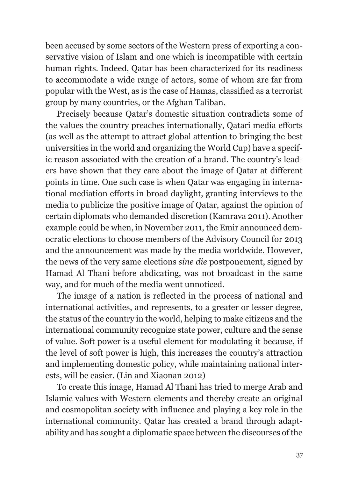been accused by some sectors of the Western press of exporting a conservative vision of Islam and one which is incompatible with certain human rights. Indeed, Qatar has been characterized for its readiness to accommodate a wide range of actors, some of whom are far from popular with the West, as is the case of Hamas, classified as a terrorist group by many countries, or the Afghan Taliban.

Precisely because Qatar's domestic situation contradicts some of the values the country preaches internationally, Qatari media efforts (as well as the attempt to attract global attention to bringing the best universities in the world and organizing the World Cup) have a specific reason associated with the creation of a brand. The country's leaders have shown that they care about the image of Qatar at different points in time. One such case is when Qatar was engaging in international mediation efforts in broad daylight, granting interviews to the media to publicize the positive image of Qatar, against the opinion of certain diplomats who demanded discretion (Kamrava 2011). Another example could be when, in November 2011, the Emir announced democratic elections to choose members of the Advisory Council for 2013 and the announcement was made by the media worldwide. However, the news of the very same elections *sine die* postponement, signed by Hamad Al Thani before abdicating, was not broadcast in the same way, and for much of the media went unnoticed.

The image of a nation is reflected in the process of national and international activities, and represents, to a greater or lesser degree, the status of the country in the world, helping to make citizens and the international community recognize state power, culture and the sense of value. Soft power is a useful element for modulating it because, if the level of soft power is high, this increases the country's attraction and implementing domestic policy, while maintaining national interests, will be easier. (Lin and Xiaonan 2012)

To create this image, Hamad Al Thani has tried to merge Arab and Islamic values with Western elements and thereby create an original and cosmopolitan society with influence and playing a key role in the international community. Qatar has created a brand through adaptability and has sought a diplomatic space between the discourses of the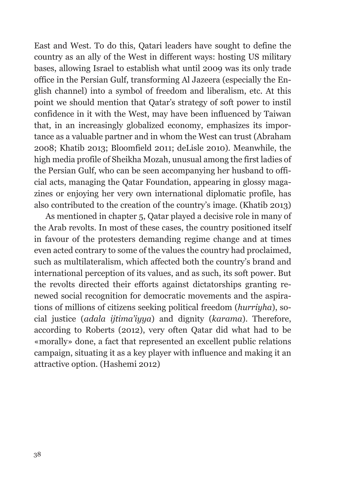East and West. To do this, Qatari leaders have sought to define the country as an ally of the West in different ways: hosting US military bases, allowing Israel to establish what until 2009 was its only trade office in the Persian Gulf, transforming Al Jazeera (especially the English channel) into a symbol of freedom and liberalism, etc. At this point we should mention that Qatar's strategy of soft power to instil confidence in it with the West, may have been influenced by Taiwan that, in an increasingly globalized economy, emphasizes its importance as a valuable partner and in whom the West can trust (Abraham 2008; Khatib 2013; Bloomfield 2011; deLisle 2010). Meanwhile, the high media profile of Sheikha Mozah, unusual among the first ladies of the Persian Gulf, who can be seen accompanying her husband to official acts, managing the Qatar Foundation, appearing in glossy magazines or enjoying her very own international diplomatic profile, has also contributed to the creation of the country's image. (Khatib 2013)

As mentioned in chapter 5, Qatar played a decisive role in many of the Arab revolts. In most of these cases, the country positioned itself in favour of the protesters demanding regime change and at times even acted contrary to some of the values the country had proclaimed, such as multilateralism, which affected both the country's brand and international perception of its values, and as such, its soft power. But the revolts directed their efforts against dictatorships granting renewed social recognition for democratic movements and the aspirations of millions of citizens seeking political freedom (*hurriyha*), social justice (*adala ijtima'iyya*) and dignity (*karama*). Therefore, according to Roberts (2012), very often Qatar did what had to be «morally» done, a fact that represented an excellent public relations campaign, situating it as a key player with influence and making it an attractive option. (Hashemi 2012)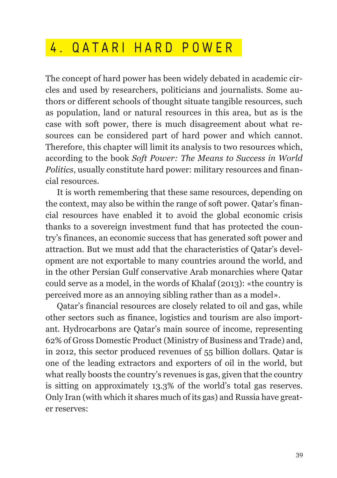## 4 . QATARI HARD POWER

The concept of hard power has been widely debated in academic circles and used by researchers, politicians and journalists. Some authors or different schools of thought situate tangible resources, such as population, land or natural resources in this area, but as is the case with soft power, there is much disagreement about what resources can be considered part of hard power and which cannot. Therefore, this chapter will limit its analysis to two resources which, according to the book *Soft Power: The Means to Success in World Politics*, usually constitute hard power: military resources and financial resources.

It is worth remembering that these same resources, depending on the context, may also be within the range of soft power. Qatar's financial resources have enabled it to avoid the global economic crisis thanks to a sovereign investment fund that has protected the country's finances, an economic success that has generated soft power and attraction. But we must add that the characteristics of Qatar's development are not exportable to many countries around the world, and in the other Persian Gulf conservative Arab monarchies where Qatar could serve as a model, in the words of Khalaf (2013): «the country is perceived more as an annoying sibling rather than as a model».

Qatar's financial resources are closely related to oil and gas, while other sectors such as finance, logistics and tourism are also important. Hydrocarbons are Qatar's main source of income, representing 62% of Gross Domestic Product (Ministry of Business and Trade) and, in 2012, this sector produced revenues of 55 billion dollars. Qatar is one of the leading extractors and exporters of oil in the world, but what really boosts the country's revenues is gas, given that the country is sitting on approximately 13.3% of the world's total gas reserves. Only Iran (with which it shares much of its gas) and Russia have greater reserves: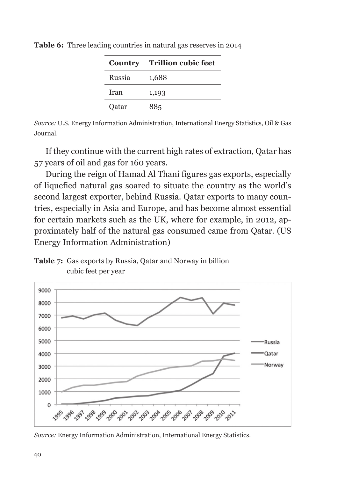|        | <b>Country</b> Trillion cubic feet |
|--------|------------------------------------|
| Russia | 1,688                              |
| Iran   | 1,193                              |
| Qatar  | 885                                |

**Table 6:** Three leading countries in natural gas reserves in 2014

*Source:* U.S. Energy Information Administration, International Energy Statistics, Oil & Gas Journal.

If they continue with the current high rates of extraction, Qatar has 57 years of oil and gas for 160 years.

During the reign of Hamad Al Thani figures gas exports, especially of liquefied natural gas soared to situate the country as the world's second largest exporter, behind Russia. Qatar exports to many countries, especially in Asia and Europe, and has become almost essential for certain markets such as the UK, where for example, in 2012, approximately half of the natural gas consumed came from Qatar. (US Energy Information Administration)

**Table 7:** Gas exports by Russia, Qatar and Norway in billion cubic feet per year



*Source:* Energy Information Administration, International Energy Statistics.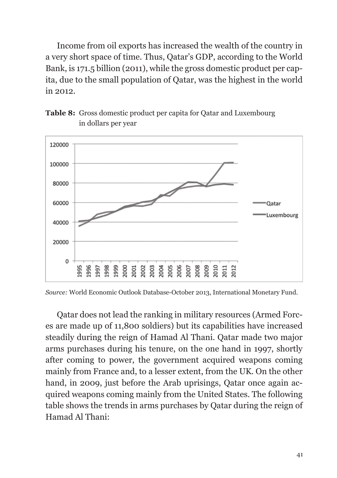Income from oil exports has increased the wealth of the country in a very short space of time. Thus, Qatar's GDP, according to the World Bank, is 171.5 billion (2011), while the gross domestic product per capita, due to the small population of Qatar, was the highest in the world in 2012.





*Source:* World Economic Outlook Database-October 2013, International Monetary Fund.

Qatar does not lead the ranking in military resources (Armed Forces are made up of 11,800 soldiers) but its capabilities have increased steadily during the reign of Hamad Al Thani. Qatar made two major arms purchases during his tenure, on the one hand in 1997, shortly after coming to power, the government acquired weapons coming mainly from France and, to a lesser extent, from the UK. On the other hand, in 2009, just before the Arab uprisings, Qatar once again acquired weapons coming mainly from the United States. The following table shows the trends in arms purchases by Qatar during the reign of Hamad Al Thani: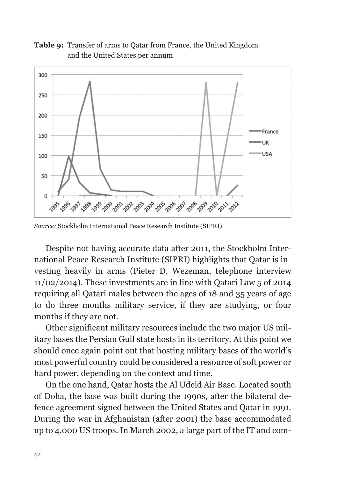#### **Table 9:** Transfer of arms to Qatar from France, the United Kingdom and the United States per annum



*Source:* Stockholm International Peace Research Institute (SIPRI).

Despite not having accurate data after 2011, the Stockholm International Peace Research Institute (SIPRI) highlights that Qatar is investing heavily in arms (Pieter D. Wezeman, telephone interview 11/02/2014). These investments are in line with Qatari Law 5 of 2014 requiring all Qatari males between the ages of 18 and 35 years of age to do three months military service, if they are studying, or four months if they are not.

Other significant military resources include the two major US military bases the Persian Gulf state hosts in its territory. At this point we should once again point out that hosting military bases of the world's most powerful country could be considered a resource of soft power or hard power, depending on the context and time.

On the one hand, Qatar hosts the Al Udeid Air Base. Located south of Doha, the base was built during the 1990s, after the bilateral defence agreement signed between the United States and Qatar in 1991. During the war in Afghanistan (after 2001) the base accommodated up to 4,000 US troops. In March 2002, a large part of the IT and com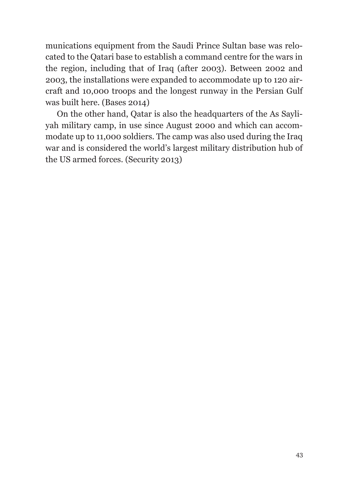munications equipment from the Saudi Prince Sultan base was relocated to the Qatari base to establish a command centre for the wars in the region, including that of Iraq (after 2003). Between 2002 and 2003, the installations were expanded to accommodate up to 120 aircraft and 10,000 troops and the longest runway in the Persian Gulf was built here. (Bases 2014)

On the other hand, Qatar is also the headquarters of the As Sayliyah military camp, in use since August 2000 and which can accommodate up to 11,000 soldiers. The camp was also used during the Iraq war and is considered the world's largest military distribution hub of the US armed forces. (Security 2013)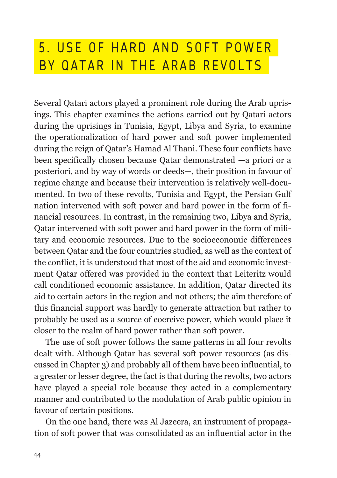## 5 . USE OF HARD AND SOFT POWER BY QATAR IN THE ARAB REVOLTS

Several Qatari actors played a prominent role during the Arab uprisings. This chapter examines the actions carried out by Qatari actors during the uprisings in Tunisia, Egypt, Libya and Syria, to examine the operationalization of hard power and soft power implemented during the reign of Qatar's Hamad Al Thani. These four conflicts have been specifically chosen because Qatar demonstrated —a priori or a posteriori, and by way of words or deeds—, their position in favour of regime change and because their intervention is relatively well-documented. In two of these revolts, Tunisia and Egypt, the Persian Gulf nation intervened with soft power and hard power in the form of financial resources. In contrast, in the remaining two, Libya and Syria, Qatar intervened with soft power and hard power in the form of military and economic resources. Due to the socioeconomic differences between Qatar and the four countries studied, as well as the context of the conflict, it is understood that most of the aid and economic investment Qatar offered was provided in the context that Leiteritz would call conditioned economic assistance. In addition, Qatar directed its aid to certain actors in the region and not others; the aim therefore of this financial support was hardly to generate attraction but rather to probably be used as a source of coercive power, which would place it closer to the realm of hard power rather than soft power.

The use of soft power follows the same patterns in all four revolts dealt with. Although Qatar has several soft power resources (as discussed in Chapter 3) and probably all of them have been influential, to a greater or lesser degree, the fact is that during the revolts, two actors have played a special role because they acted in a complementary manner and contributed to the modulation of Arab public opinion in favour of certain positions.

On the one hand, there was Al Jazeera, an instrument of propagation of soft power that was consolidated as an influential actor in the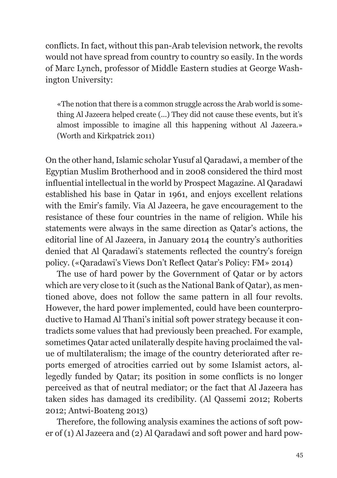conflicts. In fact, without this pan-Arab television network, the revolts would not have spread from country to country so easily. In the words of Marc Lynch, professor of Middle Eastern studies at George Washington University:

«The notion that there is a common struggle across the Arab world is something Al Jazeera helped create (...) They did not cause these events, but it's almost impossible to imagine all this happening without Al Jazeera.» (Worth and Kirkpatrick 2011)

On the other hand, Islamic scholar Yusuf al Qaradawi, a member of the Egyptian Muslim Brotherhood and in 2008 considered the third most influential intellectual in the world by Prospect Magazine. Al Qaradawi established his base in Qatar in 1961, and enjoys excellent relations with the Emir's family. Via Al Jazeera, he gave encouragement to the resistance of these four countries in the name of religion. While his statements were always in the same direction as Qatar's actions, the editorial line of Al Jazeera, in January 2014 the country's authorities denied that Al Qaradawi's statements reflected the country's foreign policy. («Qaradawi's Views Don't Reflect Qatar's Policy: FM» 2014)

The use of hard power by the Government of Qatar or by actors which are very close to it (such as the National Bank of Qatar), as mentioned above, does not follow the same pattern in all four revolts. However, the hard power implemented, could have been counterproductive to Hamad Al Thani's initial soft power strategy because it contradicts some values that had previously been preached. For example, sometimes Qatar acted unilaterally despite having proclaimed the value of multilateralism; the image of the country deteriorated after reports emerged of atrocities carried out by some Islamist actors, allegedly funded by Qatar; its position in some conflicts is no longer perceived as that of neutral mediator; or the fact that Al Jazeera has taken sides has damaged its credibility. (Al Qassemi 2012; Roberts 2012; Antwi-Boateng 2013)

Therefore, the following analysis examines the actions of soft power of (1) Al Jazeera and (2) Al Qaradawi and soft power and hard pow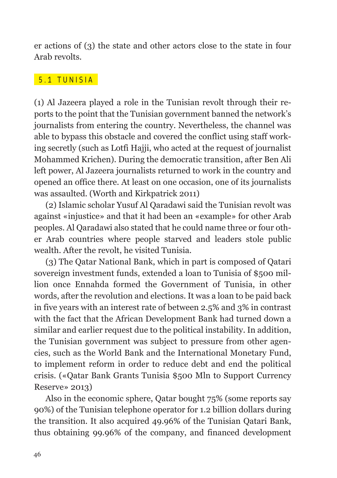er actions of (3) the state and other actors close to the state in four Arab revolts.

#### 5 .1 TUNISIA

(1) Al Jazeera played a role in the Tunisian revolt through their reports to the point that the Tunisian government banned the network's journalists from entering the country. Nevertheless, the channel was able to bypass this obstacle and covered the conflict using staff working secretly (such as Lotfi Hajji, who acted at the request of journalist Mohammed Krichen). During the democratic transition, after Ben Ali left power, Al Jazeera journalists returned to work in the country and opened an office there. At least on one occasion, one of its journalists was assaulted. (Worth and Kirkpatrick 2011)

(2) Islamic scholar Yusuf Al Qaradawi said the Tunisian revolt was against «injustice» and that it had been an «example» for other Arab peoples. Al Qaradawi also stated that he could name three or four other Arab countries where people starved and leaders stole public wealth. After the revolt, he visited Tunisia.

(3) The Qatar National Bank, which in part is composed of Qatari sovereign investment funds, extended a loan to Tunisia of \$500 million once Ennahda formed the Government of Tunisia, in other words, after the revolution and elections. It was a loan to be paid back in five years with an interest rate of between 2.5% and 3% in contrast with the fact that the African Development Bank had turned down a similar and earlier request due to the political instability. In addition, the Tunisian government was subject to pressure from other agencies, such as the World Bank and the International Monetary Fund, to implement reform in order to reduce debt and end the political crisis. («Qatar Bank Grants Tunisia \$500 Mln to Support Currency Reserve» 2013)

Also in the economic sphere, Qatar bought 75% (some reports say 90%) of the Tunisian telephone operator for 1.2 billion dollars during the transition. It also acquired 49.96% of the Tunisian Qatari Bank, thus obtaining 99.96% of the company, and financed development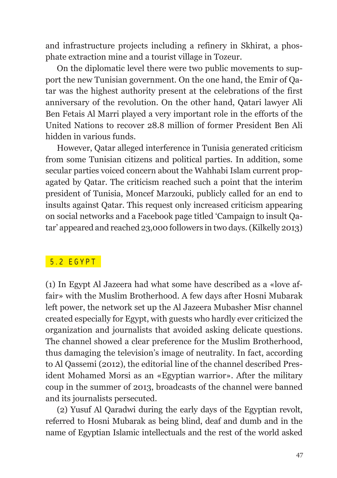and infrastructure projects including a refinery in Skhirat, a phosphate extraction mine and a tourist village in Tozeur.

On the diplomatic level there were two public movements to support the new Tunisian government. On the one hand, the Emir of Qatar was the highest authority present at the celebrations of the first anniversary of the revolution. On the other hand, Qatari lawyer Ali Ben Fetais Al Marri played a very important role in the efforts of the United Nations to recover 28.8 million of former President Ben Ali hidden in various funds.

However, Qatar alleged interference in Tunisia generated criticism from some Tunisian citizens and political parties. In addition, some secular parties voiced concern about the Wahhabi Islam current propagated by Qatar. The criticism reached such a point that the interim president of Tunisia, Moncef Marzouki, publicly called for an end to insults against Qatar. This request only increased criticism appearing on social networks and a Facebook page titled 'Campaign to insult Qatar' appeared and reached 23,000 followers in two days. (Kilkelly 2013)

#### 5 .2 EGYPT

(1) In Egypt Al Jazeera had what some have described as a «love affair» with the Muslim Brotherhood. A few days after Hosni Mubarak left power, the network set up the Al Jazeera Mubasher Misr channel created especially for Egypt, with guests who hardly ever criticized the organization and journalists that avoided asking delicate questions. The channel showed a clear preference for the Muslim Brotherhood, thus damaging the television's image of neutrality. In fact, according to Al Qassemi (2012), the editorial line of the channel described President Mohamed Morsi as an «Egyptian warrior». After the military coup in the summer of 2013, broadcasts of the channel were banned and its journalists persecuted.

(2) Yusuf Al Qaradwi during the early days of the Egyptian revolt, referred to Hosni Mubarak as being blind, deaf and dumb and in the name of Egyptian Islamic intellectuals and the rest of the world asked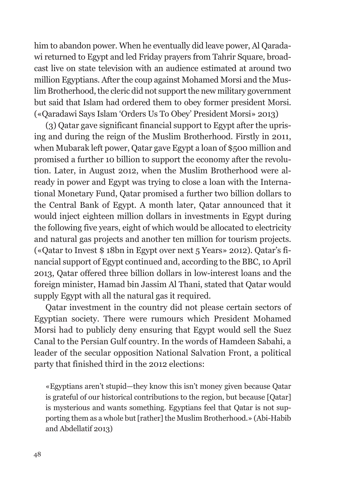him to abandon power. When he eventually did leave power, Al Qaradawi returned to Egypt and led Friday prayers from Tahrir Square, broadcast live on state television with an audience estimated at around two million Egyptians. After the coup against Mohamed Morsi and the Muslim Brotherhood, the cleric did not support the new military government but said that Islam had ordered them to obey former president Morsi. («Qaradawi Says Islam 'Orders Us To Obey' President Morsi» 2013)

(3) Qatar gave significant financial support to Egypt after the uprising and during the reign of the Muslim Brotherhood. Firstly in 2011, when Mubarak left power, Qatar gave Egypt a loan of \$500 million and promised a further 10 billion to support the economy after the revolution. Later, in August 2012, when the Muslim Brotherhood were already in power and Egypt was trying to close a loan with the International Monetary Fund, Qatar promised a further two billion dollars to the Central Bank of Egypt. A month later, Qatar announced that it would inject eighteen million dollars in investments in Egypt during the following five years, eight of which would be allocated to electricity and natural gas projects and another ten million for tourism projects. («Qatar to Invest \$ 18bn in Egypt over next 5 Years» 2012). Qatar's financial support of Egypt continued and, according to the BBC, 10 April 2013, Qatar offered three billion dollars in low-interest loans and the foreign minister, Hamad bin Jassim Al Thani, stated that Qatar would supply Egypt with all the natural gas it required.

Qatar investment in the country did not please certain sectors of Egyptian society. There were rumours which President Mohamed Morsi had to publicly deny ensuring that Egypt would sell the Suez Canal to the Persian Gulf country. In the words of Hamdeen Sabahi, a leader of the secular opposition National Salvation Front, a political party that finished third in the 2012 elections:

«Egyptians aren't stupid—they know this isn't money given because Qatar is grateful of our historical contributions to the region, but because [Qatar] is mysterious and wants something. Egyptians feel that Qatar is not supporting them as a whole but [rather] the Muslim Brotherhood.» (Abi-Habib and Abdellatif 2013)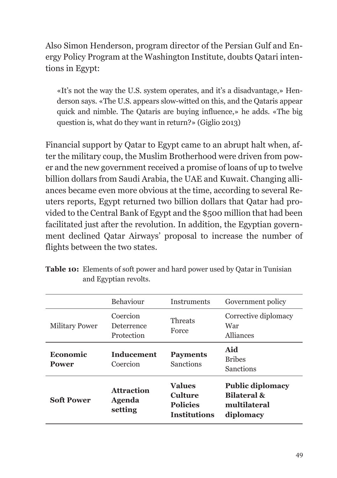Also Simon Henderson, program director of the Persian Gulf and Energy Policy Program at the Washington Institute, doubts Qatari intentions in Egypt:

«It's not the way the U.S. system operates, and it's a disadvantage,» Henderson says. «The U.S. appears slow-witted on this, and the Qataris appear quick and nimble. The Qataris are buying influence,» he adds. «The big question is, what do they want in return?» (Giglio 2013)

Financial support by Qatar to Egypt came to an abrupt halt when, after the military coup, the Muslim Brotherhood were driven from power and the new government received a promise of loans of up to twelve billion dollars from Saudi Arabia, the UAE and Kuwait. Changing alliances became even more obvious at the time, according to several Reuters reports, Egypt returned two billion dollars that Qatar had provided to the Central Bank of Egypt and the \$500 million that had been facilitated just after the revolution. In addition, the Egyptian government declined Qatar Airways' proposal to increase the number of flights between the two states.

|                          | Behaviour                                     | <b>Instruments</b>                                                        | Government policy                                                              |
|--------------------------|-----------------------------------------------|---------------------------------------------------------------------------|--------------------------------------------------------------------------------|
| <b>Military Power</b>    | Coercion<br>Deterrence<br>Protection          | Threats<br>Force                                                          | Corrective diplomacy<br>War<br>Alliances                                       |
| Economic<br><b>Power</b> | <b>Inducement</b><br>Coercion                 | <b>Payments</b><br><b>Sanctions</b>                                       | Aid<br><b>Bribes</b><br><b>Sanctions</b>                                       |
| <b>Soft Power</b>        | <b>Attraction</b><br><b>Agenda</b><br>setting | <b>Values</b><br><b>Culture</b><br><b>Policies</b><br><b>Institutions</b> | <b>Public diplomacy</b><br><b>Bilateral &amp;</b><br>multilateral<br>diplomacy |

**Table 10:** Elements of soft power and hard power used by Qatar in Tunisian and Egyptian revolts.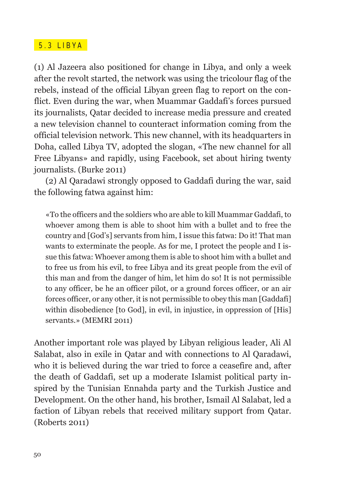#### 5 .3 LIBYA

(1) Al Jazeera also positioned for change in Libya, and only a week after the revolt started, the network was using the tricolour flag of the rebels, instead of the official Libyan green flag to report on the conflict. Even during the war, when Muammar Gaddafi's forces pursued its journalists, Qatar decided to increase media pressure and created a new television channel to counteract information coming from the official television network. This new channel, with its headquarters in Doha, called Libya TV, adopted the slogan, «The new channel for all Free Libyans» and rapidly, using Facebook, set about hiring twenty journalists. (Burke 2011)

(2) Al Qaradawi strongly opposed to Gaddafi during the war, said the following fatwa against him:

«To the officers and the soldiers who are able to kill Muammar Gaddafi, to whoever among them is able to shoot him with a bullet and to free the country and [God's] servants from him, I issue this fatwa: Do it! That man wants to exterminate the people. As for me, I protect the people and I issue this fatwa: Whoever among them is able to shoot him with a bullet and to free us from his evil, to free Libya and its great people from the evil of this man and from the danger of him, let him do so! It is not permissible to any officer, be he an officer pilot, or a ground forces officer, or an air forces officer, or any other, it is not permissible to obey this man [Gaddafi] within disobedience [to God], in evil, in injustice, in oppression of [His] servants.» (MEMRI 2011)

Another important role was played by Libyan religious leader, Ali Al Salabat, also in exile in Qatar and with connections to Al Qaradawi, who it is believed during the war tried to force a ceasefire and, after the death of Gaddafi, set up a moderate Islamist political party inspired by the Tunisian Ennahda party and the Turkish Justice and Development. On the other hand, his brother, Ismail Al Salabat, led a faction of Libyan rebels that received military support from Qatar. (Roberts 2011)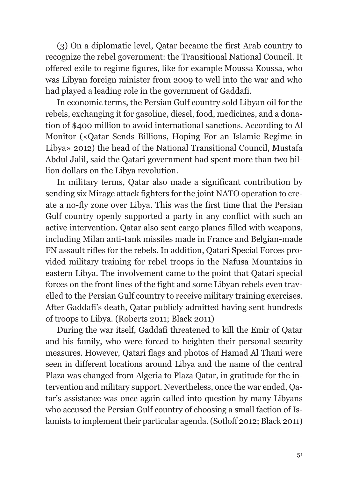(3) On a diplomatic level, Qatar became the first Arab country to recognize the rebel government: the Transitional National Council. It offered exile to regime figures, like for example Moussa Koussa, who was Libyan foreign minister from 2009 to well into the war and who had played a leading role in the government of Gaddafi.

In economic terms, the Persian Gulf country sold Libyan oil for the rebels, exchanging it for gasoline, diesel, food, medicines, and a donation of \$400 million to avoid international sanctions. According to Al Monitor («Qatar Sends Billions, Hoping For an Islamic Regime in Libya» 2012) the head of the National Transitional Council, Mustafa Abdul Jalil, said the Qatari government had spent more than two billion dollars on the Libya revolution.

In military terms, Qatar also made a significant contribution by sending six Mirage attack fighters for the joint NATO operation to create a no-fly zone over Libya. This was the first time that the Persian Gulf country openly supported a party in any conflict with such an active intervention. Qatar also sent cargo planes filled with weapons, including Milan anti-tank missiles made in France and Belgian-made FN assault rifles for the rebels. In addition, Qatari Special Forces provided military training for rebel troops in the Nafusa Mountains in eastern Libya. The involvement came to the point that Qatari special forces on the front lines of the fight and some Libyan rebels even travelled to the Persian Gulf country to receive military training exercises. After Gaddafi's death, Qatar publicly admitted having sent hundreds of troops to Libya. (Roberts 2011; Black 2011)

During the war itself, Gaddafi threatened to kill the Emir of Qatar and his family, who were forced to heighten their personal security measures. However, Qatari flags and photos of Hamad Al Thani were seen in different locations around Libya and the name of the central Plaza was changed from Algeria to Plaza Qatar, in gratitude for the intervention and military support. Nevertheless, once the war ended, Qatar's assistance was once again called into question by many Libyans who accused the Persian Gulf country of choosing a small faction of Islamists to implement their particular agenda. (Sotloff 2012; Black 2011)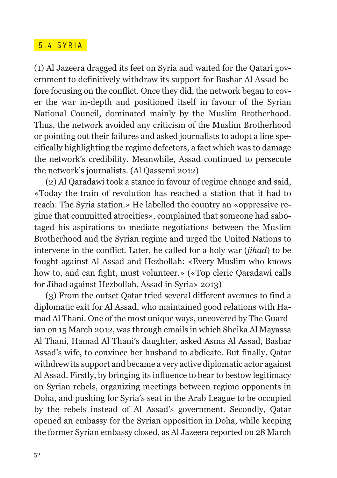#### 5 .4 SYRIA

(1) Al Jazeera dragged its feet on Syria and waited for the Qatari government to definitively withdraw its support for Bashar Al Assad before focusing on the conflict. Once they did, the network began to cover the war in-depth and positioned itself in favour of the Syrian National Council, dominated mainly by the Muslim Brotherhood. Thus, the network avoided any criticism of the Muslim Brotherhood or pointing out their failures and asked journalists to adopt a line specifically highlighting the regime defectors, a fact which was to damage the network's credibility. Meanwhile, Assad continued to persecute the network's journalists. (Al Qassemi 2012)

(2) Al Qaradawi took a stance in favour of regime change and said, «Today the train of revolution has reached a station that it had to reach: The Syria station.» He labelled the country an «oppressive regime that committed atrocities», complained that someone had sabotaged his aspirations to mediate negotiations between the Muslim Brotherhood and the Syrian regime and urged the United Nations to intervene in the conflict. Later, he called for a holy war (*jihad*) to be fought against Al Assad and Hezbollah: «Every Muslim who knows how to, and can fight, must volunteer.» («Top cleric Qaradawi calls for Jihad against Hezbollah, Assad in Syria» 2013)

(3) From the outset Qatar tried several different avenues to find a diplomatic exit for Al Assad, who maintained good relations with Hamad Al Thani. One of the most unique ways, uncovered by The Guardian on 15 March 2012, was through emails in which Sheika Al Mayassa Al Thani, Hamad Al Thani's daughter, asked Asma Al Assad, Bashar Assad's wife, to convince her husband to abdicate. But finally, Qatar withdrew its support and became a very active diplomatic actor against Al Assad. Firstly, by bringing its influence to bear to bestow legitimacy on Syrian rebels, organizing meetings between regime opponents in Doha, and pushing for Syria's seat in the Arab League to be occupied by the rebels instead of Al Assad's government. Secondly, Qatar opened an embassy for the Syrian opposition in Doha, while keeping the former Syrian embassy closed, as Al Jazeera reported on 28 March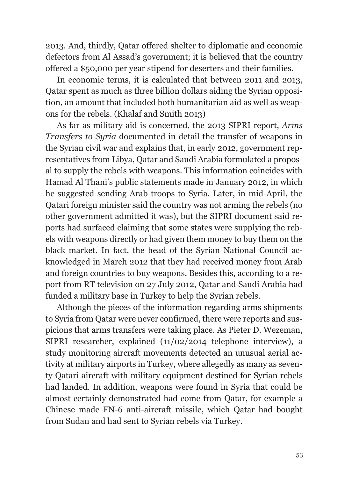2013. And, thirdly, Qatar offered shelter to diplomatic and economic defectors from Al Assad's government; it is believed that the country offered a \$50,000 per year stipend for deserters and their families.

In economic terms, it is calculated that between 2011 and 2013, Qatar spent as much as three billion dollars aiding the Syrian opposition, an amount that included both humanitarian aid as well as weapons for the rebels. (Khalaf and Smith 2013)

As far as military aid is concerned, the 2013 SIPRI report, *Arms Transfers to Syria* documented in detail the transfer of weapons in the Syrian civil war and explains that, in early 2012, government representatives from Libya, Qatar and Saudi Arabia formulated a proposal to supply the rebels with weapons. This information coincides with Hamad Al Thani's public statements made in January 2012, in which he suggested sending Arab troops to Syria. Later, in mid-April, the Qatari foreign minister said the country was not arming the rebels (no other government admitted it was), but the SIPRI document said reports had surfaced claiming that some states were supplying the rebels with weapons directly or had given them money to buy them on the black market. In fact, the head of the Syrian National Council acknowledged in March 2012 that they had received money from Arab and foreign countries to buy weapons. Besides this, according to a report from RT television on 27 July 2012, Qatar and Saudi Arabia had funded a military base in Turkey to help the Syrian rebels.

Although the pieces of the information regarding arms shipments to Syria from Qatar were never confirmed, there were reports and suspicions that arms transfers were taking place. As Pieter D. Wezeman, SIPRI researcher, explained (11/02/2014 telephone interview), a study monitoring aircraft movements detected an unusual aerial activity at military airports in Turkey, where allegedly as many as seventy Qatari aircraft with military equipment destined for Syrian rebels had landed. In addition, weapons were found in Syria that could be almost certainly demonstrated had come from Qatar, for example a Chinese made FN-6 anti-aircraft missile, which Qatar had bought from Sudan and had sent to Syrian rebels via Turkey.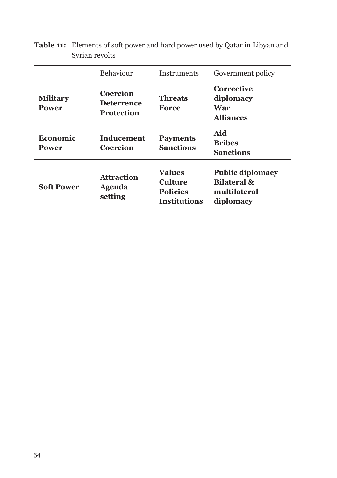|                                 | Behaviour                                          | <b>Instruments</b>                                          | Government policy                                                              |
|---------------------------------|----------------------------------------------------|-------------------------------------------------------------|--------------------------------------------------------------------------------|
| <b>Military</b><br><b>Power</b> | Coercion<br><b>Deterrence</b><br><b>Protection</b> | <b>Threats</b><br>Force                                     | Corrective<br>diplomacy<br>War<br><b>Alliances</b>                             |
| Economic<br>Power               | Inducement<br>Coercion                             | <b>Payments</b><br><b>Sanctions</b>                         | Aid<br><b>Bribes</b><br><b>Sanctions</b>                                       |
| <b>Soft Power</b>               | <b>Attraction</b><br><b>Agenda</b><br>setting      | Values<br>Culture<br><b>Policies</b><br><b>Institutions</b> | <b>Public diplomacy</b><br><b>Bilateral &amp;</b><br>multilateral<br>diplomacy |

**Table 11:** Elements of soft power and hard power used by Qatar in Libyan and Syrian revolts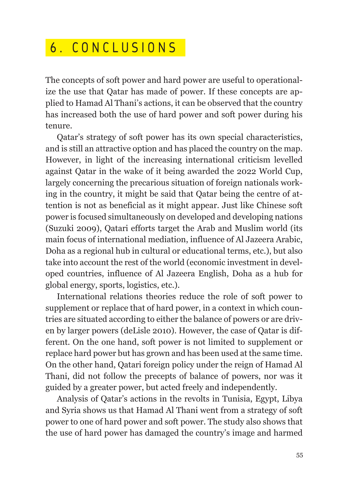## 6 . CONCLUSIONS

The concepts of soft power and hard power are useful to operationalize the use that Qatar has made of power. If these concepts are applied to Hamad Al Thani's actions, it can be observed that the country has increased both the use of hard power and soft power during his tenure.

Qatar's strategy of soft power has its own special characteristics, and is still an attractive option and has placed the country on the map. However, in light of the increasing international criticism levelled against Qatar in the wake of it being awarded the 2022 World Cup, largely concerning the precarious situation of foreign nationals working in the country, it might be said that Qatar being the centre of attention is not as beneficial as it might appear. Just like Chinese soft power is focused simultaneously on developed and developing nations (Suzuki 2009), Qatari efforts target the Arab and Muslim world (its main focus of international mediation, influence of Al Jazeera Arabic, Doha as a regional hub in cultural or educational terms, etc.), but also take into account the rest of the world (economic investment in developed countries, influence of Al Jazeera English, Doha as a hub for global energy, sports, logistics, etc.).

International relations theories reduce the role of soft power to supplement or replace that of hard power, in a context in which countries are situated according to either the balance of powers or are driven by larger powers (deLisle 2010). However, the case of Qatar is different. On the one hand, soft power is not limited to supplement or replace hard power but has grown and has been used at the same time. On the other hand, Qatari foreign policy under the reign of Hamad Al Thani, did not follow the precepts of balance of powers, nor was it guided by a greater power, but acted freely and independently.

Analysis of Qatar's actions in the revolts in Tunisia, Egypt, Libya and Syria shows us that Hamad Al Thani went from a strategy of soft power to one of hard power and soft power. The study also shows that the use of hard power has damaged the country's image and harmed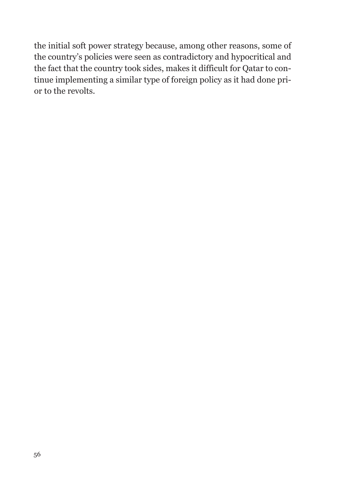the initial soft power strategy because, among other reasons, some of the country's policies were seen as contradictory and hypocritical and the fact that the country took sides, makes it difficult for Qatar to continue implementing a similar type of foreign policy as it had done prior to the revolts.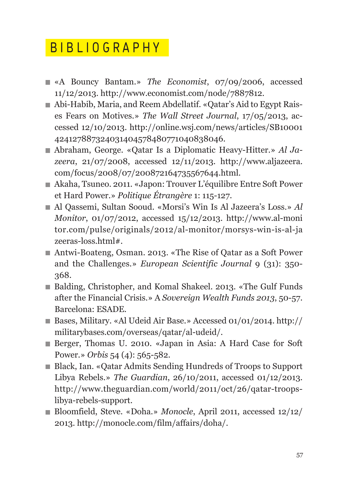## B IBLIOGRAPHY

- «A Bouncy Bantam.» *The Economist*, 07/09/2006, accessed 11/12/2013. http://www.economist.com/node/7887812.
- Abi-Habib, Maria, and Reem Abdellatif. «Qatar's Aid to Egypt Raises Fears on Motives.» *The Wall Street Journal*, 17/05/2013, accessed 12/10/2013. http://online.wsj.com/news/articles/SB10001 424127887324031404578480771040838046.
- Abraham, George. «Qatar Is a Diplomatic Heavy-Hitter.» *Al Jazeera*, 21/07/2008, accessed 12/11/2013. http://www.aljazeera. com/focus/2008/07/200872164735567644.html.
- Akaha, Tsuneo. 2011. «Japon: Trouver L'équilibre Entre Soft Power et Hard Power.» *Politique Étrangère* 1: 115-127.
- Al Qassemi, Sultan Sooud. «Morsi's Win Is Al Jazeera's Loss.» *Al Monitor*, 01/07/2012, accessed 15/12/2013. http://www.al-moni tor.com/pulse/originals/2012/al-monitor/morsys-win-is-al-ja zeeras-loss.html#.
- Antwi-Boateng, Osman. 2013. «The Rise of Qatar as a Soft Power and the Challenges.» *European Scientific Journal* 9 (31): 350- 368.
- Balding, Christopher, and Komal Shakeel. 2013. «The Gulf Funds after the Financial Crisis.» A *Sovereign Wealth Funds 2013*, 50-57. Barcelona: ESADE.
- Bases, Military. «Al Udeid Air Base.» Accessed 01/01/2014. http:// militarybases.com/overseas/qatar/al-udeid/.
- Berger, Thomas U. 2010. «Japan in Asia: A Hard Case for Soft Power.» *Orbis* 54 (4): 565-582.
- Black, Ian. «Qatar Admits Sending Hundreds of Troops to Support Libya Rebels.» *The Guardian*, 26/10/2011, accessed 01/12/2013. http://www.theguardian.com/world/2011/oct/26/qatar-troopslibya-rebels-support.
- Bloomfield, Steve. «Doha.» *Monocle*, April 2011, accessed 12/12/ 2013. http://monocle.com/film/affairs/doha/.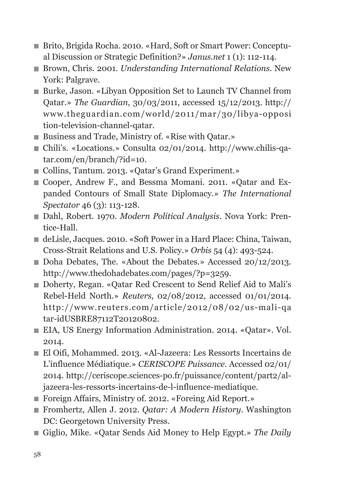- Brito, Brígida Rocha. 2010. «Hard, Soft or Smart Power: Conceptual Discussion or Strategic Definition?» *Janus.net* 1 (1): 112-114.
- Brown, Chris. 2001. *Understanding International Relations*. New York: Palgrave.
- Burke, Jason. «Libyan Opposition Set to Launch TV Channel from Qatar.» *The Guardian*, 30/03/2011, accessed 15/12/2013. http:// www.theguardian.com/world/2011/mar/30/libya-opposi tion-television-channel-qatar.
- Business and Trade, Ministry of. «Rise with Qatar.»
- Chili's. «Locations.» Consulta 02/01/2014. http://www.chilis-qatar.com/en/branch/?id=10.
- Collins, Tantum. 2013. «Oatar's Grand Experiment.»
- Cooper, Andrew F., and Bessma Momani. 2011. «Oatar and Expanded Contours of Small State Diplomacy.» *The International Spectator* 46 (3): 113-128.
- Dahl, Robert. 1970. *Modern Political Analysis*. Nova York: Prentice-Hall.
- deLisle, Jacques. 2010. «Soft Power in a Hard Place: China, Taiwan, Cross-Strait Relations and U.S. Policy.» *Orbis* 54 (4): 493-524.
- Doha Debates, The. «About the Debates.» Accessed 20/12/2013. http://www.thedohadebates.com/pages/?p=3259.
- Doherty, Regan. «Qatar Red Crescent to Send Relief Aid to Mali's Rebel-Held North.» *Reuters*, 02/08/2012, accessed 01/01/2014. http://www.reuters.com/article/2012/08/02/us-mali-qa tar-idUSBRE87112T20120802.
- EIA, US Energy Information Administration. 2014. «Qatar». Vol. 2014.
- El Oifi, Mohammed. 2013. «Al-Jazeera: Les Ressorts Incertains de L'influence Médiatique.» *CERISCOPE Puissance*. Accessed 02/01/ 2014. http://ceriscope.sciences-po.fr/puissance/content/part2/aljazeera-les-ressorts-incertains-de-l-influence-mediatique.
- Foreign Affairs, Ministry of. 2012. «Foreing Aid Report.»
- Fromhertz, Allen J. 2012. *Qatar: A Modern History*. Washington DC: Georgetown University Press.
- Giglio, Mike. «Qatar Sends Aid Money to Help Egypt.» *The Daily*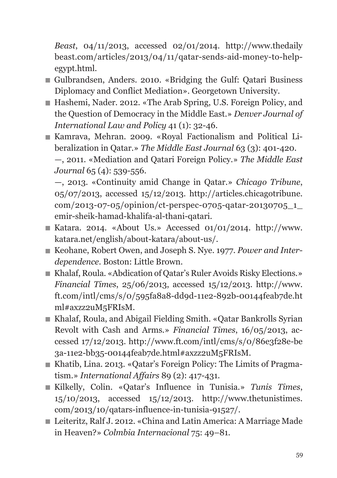*Beast*, 04/11/2013, accessed 02/01/2014. http://www.thedaily beast.com/articles/2013/04/11/qatar-sends-aid-money-to-helpegypt.html.

- Gulbrandsen, Anders. 2010. «Bridging the Gulf: Qatari Business Diplomacy and Conflict Mediation». Georgetown University.
- Hashemi, Nader. 2012. «The Arab Spring, U.S. Foreign Policy, and the Question of Democracy in the Middle East.» *Denver Journal of International Law and Policy* 41 (1): 32-46.
- Kamrava, Mehran. 2009. «Royal Factionalism and Political Liberalization in Qatar.» *The Middle East Journal* 63 (3): 401-420. —, 2011. «Mediation and Qatari Foreign Policy.» *The Middle East Journal* 65 (4): 539-556.

 —, 2013. «Continuity amid Change in Qatar.» *Chicago Tribune*, 05/07/2013, accessed 15/12/2013. http://articles.chicagotribune. com/2013-07-05/opinion/ct-perspec-0705-qatar-20130705\_1\_ emir-sheik-hamad-khalifa-al-thani-qatari.

- Katara. 2014. «About Us.» Accessed 01/01/2014. http://www. katara.net/english/about-katara/about-us/.
- Keohane, Robert Owen, and Joseph S. Nye. 1977. *Power and Interdependence*. Boston: Little Brown.
- Khalaf, Roula. «Abdication of Qatar's Ruler Avoids Risky Elections.» *Financial Times*, 25/06/2013, accessed 15/12/2013. http://www. ft.com/intl/cms/s/0/595fa8a8-dd9d-11e2-892b-00144feab7de.ht ml#axzz2uM5FRIsM.
- Khalaf, Roula, and Abigail Fielding Smith. «Qatar Bankrolls Syrian Revolt with Cash and Arms.» *Financial Times*, 16/05/2013, accessed 17/12/2013. http://www.ft.com/intl/cms/s/0/86e3f28e-be 3a-11e2-bb35-00144feab7de.html#axzz2uM5FRIsM.
- Khatib, Lina. 2013. «Qatar's Foreign Policy: The Limits of Pragmatism.» *International Affairs* 89 (2): 417-431.
- Kilkelly, Colin. «Qatar's Influence in Tunisia.» *Tunis Times*, 15/10/2013, accessed 15/12/2013. http://www.thetunistimes. com/2013/10/qatars-influence-in-tunisia-91527/.
- Leiteritz, Ralf J. 2012. «China and Latin America: A Marriage Made in Heaven?» *Colmbia Internacional* 75: 49–81.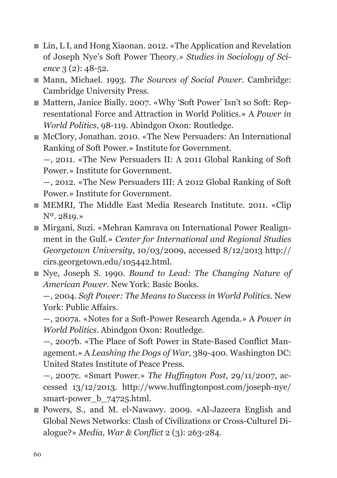- Lin, L I, and Hong Xiaonan. 2012. «The Application and Revelation of Joseph Nye's Soft Power Theory.» *Studies in Sociology of Science* 3 (2): 48-52.
- Mann, Michael. 1993. *The Sources of Social Power*. Cambridge: Cambridge University Press.
- Mattern, Janice Bially. 2007. «Why 'Soft Power' Isn't so Soft: Representational Force and Attraction in World Politics.» A *Power in World Politics*, 98-119. Abindgon Oxon: Routledge.
- McClory, Jonathan. 2010. «The New Persuaders: An International Ranking of Soft Power.» Institute for Government. —, 2011. «The New Persuaders II: A 2011 Global Ranking of Soft Power.» Institute for Government.

 —, 2012. «The New Persuaders III: A 2012 Global Ranking of Soft Power.» Institute for Government.

- MEMRI, The Middle East Media Research Institute. 2011. «Clip Nº. 2819.»
- Mirgani, Suzi. «Mehran Kamrava on International Power Realignment in the Gulf.» *Center for International and Regional Studies Georgetown University*, 10/03/2009, accessed 8/12/2013 http:// cirs.georgetown.edu/105442.html.
- Nye, Joseph S. 1990. *Bound to Lead: The Changing Nature of American Power*. New York: Basic Books.

 —, 2004. *Soft Power: The Means to Success in World Politics*. New York: Public Affairs.

 —, 2007a. «Notes for a Soft-Power Research Agenda.» A *Power in World Politics*. Abindgon Oxon: Routledge.

 —, 2007b. «The Place of Soft Power in State-Based Conflict Management.» A *Leashing the Dogs of War*, 389-400. Washington DC: United States Institute of Peace Press.

 —, 2007c. «Smart Power.» *The Huffington Post*, 29/11/2007, accessed 13/12/2013. http://www.huffingtonpost.com/joseph-nye/ smart-power\_b\_74725.html.

 Powers, S., and M. el-Nawawy. 2009. «Al-Jazeera English and Global News Networks: Clash of Civilizations or Cross-Culturel Dialogue?» *Media, War & Conflict* 2 (3): 263-284.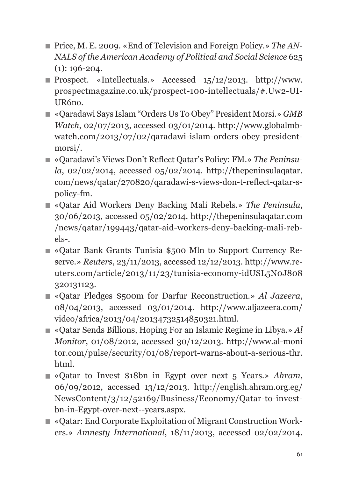- Price, M. E. 2009. «End of Television and Foreign Policy.» *The AN NALS of the American Academy of Political and Social Science* 625 (1): 196-204.
- Prospect. «Intellectuals.» Accessed 15/12/2013. http://www. prospectmagazine.co.uk/prospect-100-intellectuals/#.Uw2-UI-UR6no.
- «Qaradawi Says Islam "Orders Us To Obey" President Morsi.» *GMB Watch*, 02/07/2013, accessed 03/01/2014. http://www.globalmbwatch.com/2013/07/02/qaradawi-islam-orders-obey-presidentmorsi/.
- «Qaradawi's Views Don't Reflect Qatar's Policy: FM.» *The Peninsula*, 02/02/2014, accessed 05/02/2014. http://thepeninsulaqatar. com/news/qatar/270820/qaradawi-s-views-don-t-reflect-qatar-spolicy-fm.
- «Qatar Aid Workers Deny Backing Mali Rebels.» *The Peninsula*, 30/06/2013, accessed 05/02/2014. http://thepeninsulaqatar.com /news/qatar/199443/qatar-aid-workers-deny-backing-mali-rebels-.
- «Qatar Bank Grants Tunisia \$500 Mln to Support Currency Reserve.» *Reuters*, 23/11/2013, accessed 12/12/2013. http://www.reuters.com/article/2013/11/23/tunisia-economy-idUSL5N0J808 320131123.
- «Qatar Pledges \$500m for Darfur Reconstruction.» *Al Jazeera*, 08/04/2013, accessed 03/01/2014. http://www.aljazeera.com/ video/africa/2013/04/20134732514850321.html.
- «Qatar Sends Billions, Hoping For an Islamic Regime in Libya.» *Al Monitor*, 01/08/2012, accessed 30/12/2013. http://www.al-moni tor.com/pulse/security/01/08/report-warns-about-a-serious-thr. html.
- «Qatar to Invest \$18bn in Egypt over next 5 Years.» *Ahram*, 06/09/2012, accessed 13/12/2013. http://english.ahram.org.eg/ NewsContent/3/12/52169/Business/Economy/Qatar-to-investbn-in-Egypt-over-next--years.aspx.
- «Qatar: End Corporate Exploitation of Migrant Construction Workers.» *Amnesty International*, 18/11/2013, accessed 02/02/2014.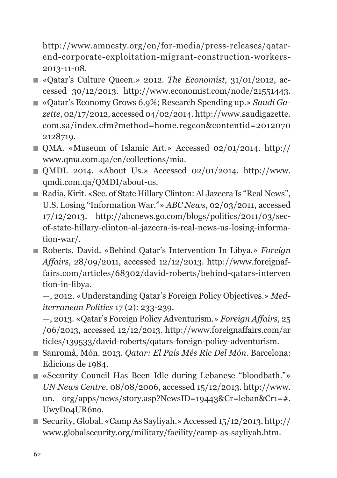http://www.amnesty.org/en/for-media/press-releases/qatarend-corporate-exploitation-migrant-construction-workers-2013-11-08.

- «Qatar's Culture Queen.» 2012. *The Economist*, 31/01/2012, accessed 30/12/2013. http://www.economist.com/node/21551443.
- «Qatar's Economy Grows 6.9%; Research Spending up.» *Saudi Gazette*, 02/17/2012, accessed 04/02/2014. http://www.saudigazette. com.sa/index.cfm?method=home.regcon&contentid=2012070 2128719.
- QMA. «Museum of Islamic Art.» Accessed 02/01/2014. http:// www.qma.com.qa/en/collections/mia.
- $\blacksquare$  OMDI. 2014. «About Us.» Accessed 02/01/2014. http://www. qmdi.com.qa/QMDI/about-us.
- Radia, Kirit. «Sec. of State Hillary Clinton: Al Jazeera Is "Real News", U.S. Losing "Information War."» *ABC News*, 02/03/2011, accessed 17/12/2013. http://abcnews.go.com/blogs/politics/2011/03/secof-state-hillary-clinton-al-jazeera-is-real-news-us-losing-information-war/.
- Roberts, David. «Behind Qatar's Intervention In Libya.» *Foreign Affairs*, 28/09/2011, accessed 12/12/2013. http://www.foreignaffairs.com/articles/68302/david-roberts/behind-qatars-interven tion-in-libya.

 —, 2012. «Understanding Qatar's Foreign Policy Objectives.» *Mediterranean Politics* 17 (2): 233-239.

 —, 2013. «Qatar's Foreign Policy Adventurism.» *Foreign Affairs*, 25 /06/2013, accessed 12/12/2013. http://www.foreignaffairs.com/ar ticles/139533/david-roberts/qatars-foreign-policy-adventurism.

- Sanromà, Món. 2013. *Qatar: El Pais Més Ric Del Món*. Barcelona: Edicions de 1984.
- «Security Council Has Been Idle during Lebanese "bloodbath."» *UN News Centre*, 08/08/2006, accessed 15/12/2013. http://www. un. org/apps/news/story.asp?NewsID=19443&Cr=leban&Cr1=#. UwyDo4UR6no.
- Security, Global. «Camp As Sayliyah.» Accessed 15/12/2013. http:// www.globalsecurity.org/military/facility/camp-as-sayliyah.htm.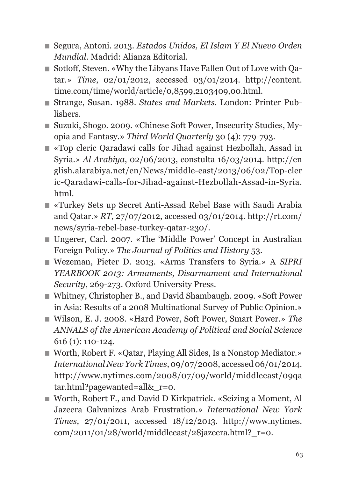- Segura, Antoni. 2013. *Estados Unidos, El Islam Y El Nuevo Orden Mundial*. Madrid: Alianza Editorial.
- Sotloff, Steven. «Why the Libyans Have Fallen Out of Love with Qatar.» *Time*, 02/01/2012, accessed 03/01/2014. http://content. time.com/time/world/article/0,8599,2103409,00.html.
- Strange, Susan. 1988. *States and Markets*. London: Printer Publishers.
- Suzuki, Shogo. 2009. «Chinese Soft Power, Insecurity Studies, Myopia and Fantasy.» *Third World Quarterly* 30 (4): 779-793.
- «Top cleric Qaradawi calls for Jihad against Hezbollah, Assad in Syria.» *Al Arabiya*, 02/06/2013, constulta 16/03/2014. http://en glish.alarabiya.net/en/News/middle-east/2013/06/02/Top-cler ic-Qaradawi-calls-for-Jihad-against-Hezbollah-Assad-in-Syria. html.
- «Turkey Sets up Secret Anti-Assad Rebel Base with Saudi Arabia and Qatar.» *RT*, 27/07/2012, accessed 03/01/2014. http://rt.com/ news/syria-rebel-base-turkey-qatar-230/.
- Ungerer, Carl. 2007. «The 'Middle Power' Concept in Australian Foreign Policy.» *The Journal of Politics and History* 53.
- Wezeman, Pieter D. 2013. «Arms Transfers to Syria.» A *SIPRI YEARBOOK 2013: Armaments, Disarmament and International Security*, 269-273. Oxford University Press.
- Whitney, Christopher B., and David Shambaugh. 2009. «Soft Power in Asia: Results of a 2008 Multinational Survey of Public Opinion.»
- Wilson, E. J. 2008. «Hard Power, Soft Power, Smart Power.» *The ANNALS of the American Academy of Political and Social Science* 616 (1): 110-124.
- Worth, Robert F. «Qatar, Playing All Sides, Is a Nonstop Mediator.» *International New York Times*, 09/07/2008, accessed 06/01/2014. http://www.nytimes.com/2008/07/09/world/middleeast/09qa tar.html?pagewanted=all&\_r=0.
- Worth, Robert F., and David D Kirkpatrick. «Seizing a Moment, Al Jazeera Galvanizes Arab Frustration.» *International New York Times*, 27/01/2011, accessed 18/12/2013. http://www.nytimes. com/2011/01/28/world/middleeast/28jazeera.html?\_r=0.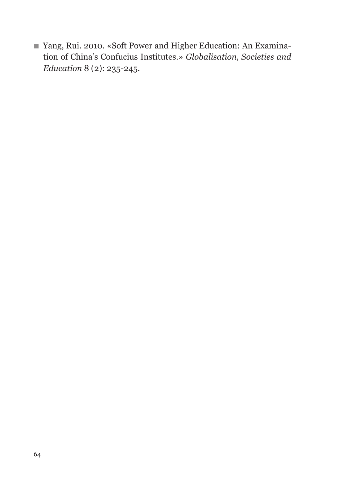Yang, Rui. 2010. «Soft Power and Higher Education: An Examination of China's Confucius Institutes.» *Globalisation, Societies and Education* 8 (2): 235-245.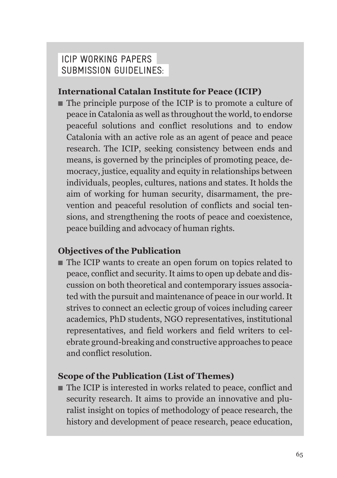#### IcIp workINg papers subMIssIoN guIdelINes:

#### **International Catalan Institute for Peace (ICIP)**

■ The principle purpose of the ICIP is to promote a culture of peace in Catalonia as well as throughout the world, to endorse peaceful solutions and conflict resolutions and to endow Catalonia with an active role as an agent of peace and peace research. The ICIP, seeking consistency between ends and means, is governed by the principles of promoting peace, democracy, justice, equality and equity in relationships between individuals, peoples, cultures, nations and states. It holds the aim of working for human security, disarmament, the prevention and peaceful resolution of conflicts and social tensions, and strengthening the roots of peace and coexistence, peace building and advocacy of human rights.

#### **Objectives of the Publication**

■ The ICIP wants to create an open forum on topics related to peace, conflict and security. It aims to open up debate and discussion on both theoretical and contemporary issues associated with the pursuit and maintenance of peace in our world. It strives to connect an eclectic group of voices including career academics, PhD students, NGO representatives, institutional representatives, and field workers and field writers to celebrate ground-breaking and constructive approaches to peace and conflict resolution.

#### **Scope of the Publication (List of Themes)**

■ The ICIP is interested in works related to peace, conflict and security research. It aims to provide an innovative and pluralist insight on topics of methodology of peace research, the history and development of peace research, peace education,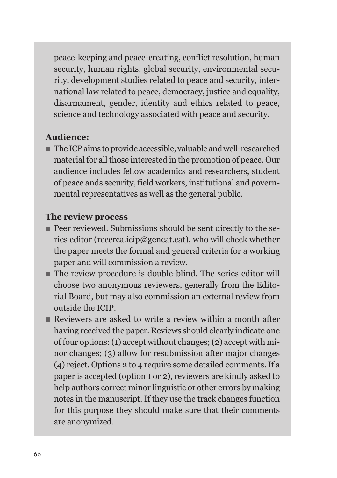peace-keeping and peace-creating, conflict resolution, human security, human rights, global security, environmental security, development studies related to peace and security, international law related to peace, democracy, justice and equality, disarmament, gender, identity and ethics related to peace, science and technology associated with peace and security.

#### **Audience:**

■ The ICP aims to provide accessible, valuable and well-researched material for all those interested in the promotion of peace. Our audience includes fellow academics and researchers, student of peace ands security, field workers, institutional and governmental representatives as well as the general public.

#### **The review process**

- Peer reviewed. Submissions should be sent directly to the series editor (recerca.icip@gencat.cat), who will check whether the paper meets the formal and general criteria for a working paper and will commission a review.
- The review procedure is double-blind. The series editor will choose two anonymous reviewers, generally from the Editorial Board, but may also commission an external review from outside the ICIP.
- Reviewers are asked to write a review within a month after having received the paper. Reviews should clearly indicate one of four options:(1) accept without changes;(2) accept with minor changes; (3) allow for resubmission after major changes (4) reject. Options 2 to 4 require some detailed comments.If a paper is accepted (option 1 or 2), reviewers are kindly asked to help authors correct minor linguistic or other errors by making notes in the manuscript. If they use the track changes function for this purpose they should make sure that their comments are anonymized.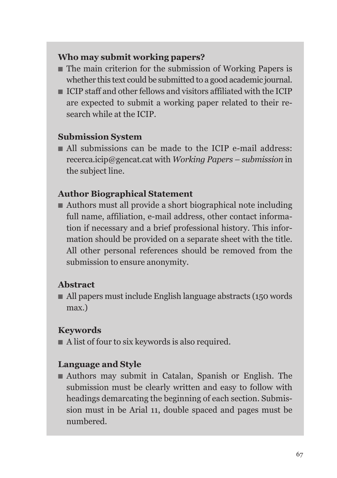#### **Who may submit working papers?**

- The main criterion for the submission of Working Papers is whether this text could be submitted to a good academic journal.
- ICIP staff and other fellows and visitors affiliated with the ICIP are expected to submit a working paper related to their research while at the ICIP.

#### **Submission System**

■ All submissions can be made to the ICIP e-mail address: recerca.icip@gencat.cat with *Working Papers – submission* in the subject line.

#### **Author Biographical Statement**

■ Authors must all provide a short biographical note including full name, affiliation, e-mail address, other contact information if necessary and a brief professional history. This information should be provided on a separate sheet with the title. All other personal references should be removed from the submission to ensure anonymity.

#### **Abstract**

■ All papers must include English language abstracts (150 words) max.)

#### **Keywords**

■ A list of four to six keywords is also required.

#### **Language and Style**

■ Authors may submit in Catalan, Spanish or English. The submission must be clearly written and easy to follow with headings demarcating the beginning of each section. Submission must in be Arial 11, double spaced and pages must be numbered.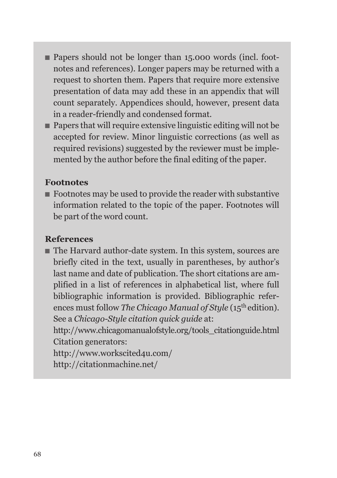- Papers should not be longer than 15,000 words (incl. footnotes and references). Longer papers may be returned with a request to shorten them. Papers that require more extensive presentation of data may add these in an appendix that will count separately. Appendices should, however, present data in a reader-friendly and condensed format.
- Papers that will require extensive linguistic editing will not be accepted for review. Minor linguistic corrections (as well as required revisions) suggested by the reviewer must be implemented by the author before the final editing of the paper.

#### **Footnotes**

■ Footnotes may be used to provide the reader with substantive information related to the topic of the paper. Footnotes will be part of the word count.

#### **References**

■ The Harvard author-date system. In this system, sources are briefly cited in the text, usually in parentheses, by author's last name and date of publication. The short citations are amplified in a list of references in alphabetical list, where full bibliographic information is provided. Bibliographic references must follow *The Chicago Manual of Style* (15th edition). See a *Chicago-Style citation quick guide* at:

http://www.chicagomanualofstyle.org/tools\_citationguide.html Citation generators:

http://www.workscited4u.com/ http://citationmachine.net/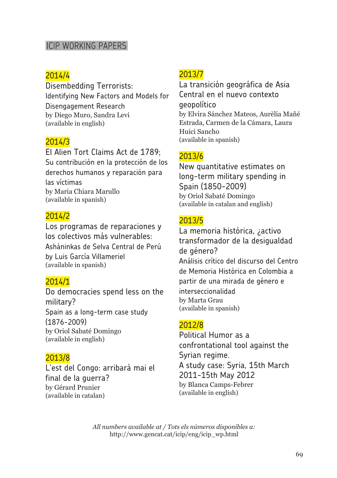#### ICIP WORKING PAPERS

#### 2014/4

Disembedding Terrorists: Identifying New Factors and Models for Disengagement Research by Diego Muro, Sandra Levi (available in english)

#### 2014/3

El Alien Tort Claims Act de 1789; Su contribución en la protección de los derechos humanos y reparación para las víctimas by Maria Chiara Marullo (available in spanish)

#### 2014/2

Los programas de reparaciones y los colectivos más vulnerables: Asháninkas de Selva Central de Perú by Luis García Villameriel (available in spanish)

#### 2014/1

Do democracies spend less on the military? Spain as a long-term case study (1876-2009) by Oriol Sabaté Domingo (available in english)

#### 2013/8

L'est del Congo: arribarà mai el final de la guerra? by Gérard Prunier (available in catalan)

#### 2013/7

La transición geográfica de Asia Central en el nuevo contexto geopolítico by Elvira Sánchez Mateos, Aurèlia Mañé Estrada, Carmen de la Cámara, Laura Huici Sancho (available in spanish)

#### 2013/6

New quantitative estimates on long-term military spending in Spain (1850-2009) by Oriol Sabaté Domingo (available in catalan and english)

#### 2013/5

La memoria histórica, ¿activo transformador de la desigualdad de género? Análisis crítico del discurso del Centro de Memoria Histórica en Colombia a partir de una mirada de género e interseccionalidad by Marta Grau (available in spanish)

#### 2012/8

Political Humor as a confrontational tool against the Syrian regime. A study case: Syria, 15th March 2011-15th May 2012 by Blanca Camps-Febrer (available in english)

*All numbers available at / Tots els números disponibles a:* http://www.gencat.cat/icip/eng/icip\_wp.html